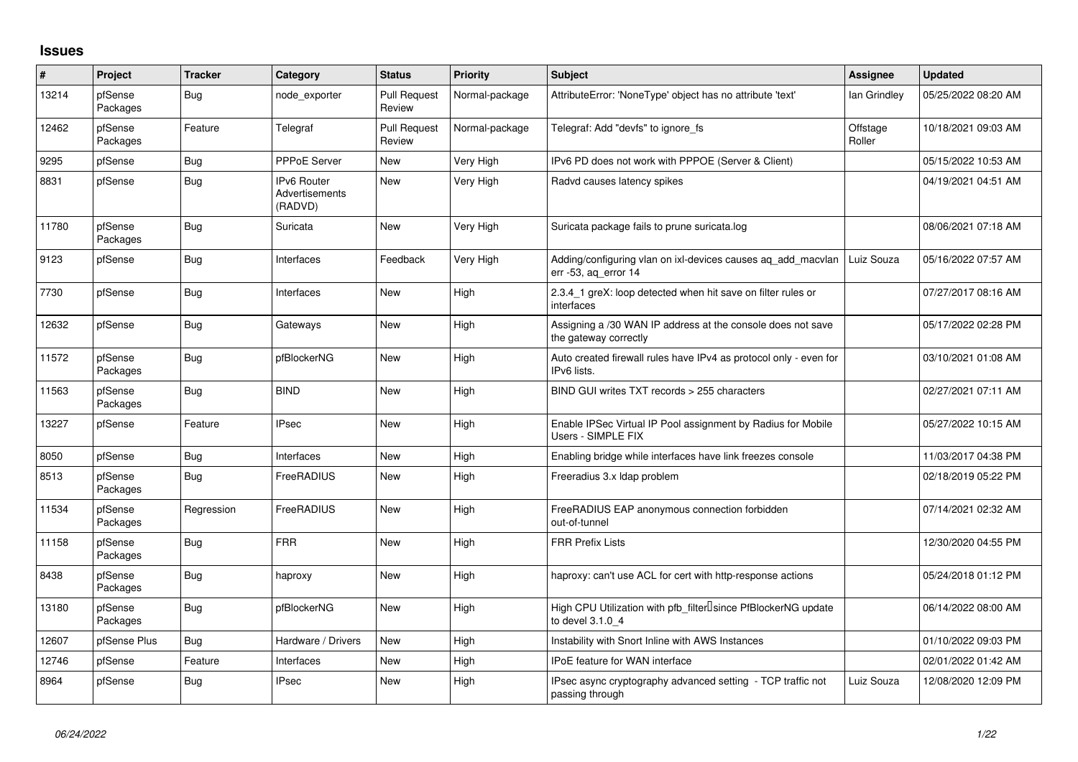## **Issues**

| $\vert$ # | Project             | <b>Tracker</b> | Category                                        | <b>Status</b>                 | Priority       | <b>Subject</b>                                                                                  | <b>Assignee</b>    | <b>Updated</b>      |
|-----------|---------------------|----------------|-------------------------------------------------|-------------------------------|----------------|-------------------------------------------------------------------------------------------------|--------------------|---------------------|
| 13214     | pfSense<br>Packages | Bug            | node exporter                                   | <b>Pull Request</b><br>Review | Normal-package | AttributeError: 'NoneType' object has no attribute 'text'                                       | lan Grindley       | 05/25/2022 08:20 AM |
| 12462     | pfSense<br>Packages | Feature        | Telegraf                                        | <b>Pull Request</b><br>Review | Normal-package | Telegraf: Add "devfs" to ignore fs                                                              | Offstage<br>Roller | 10/18/2021 09:03 AM |
| 9295      | pfSense             | Bug            | PPPoE Server                                    | <b>New</b>                    | Very High      | IPv6 PD does not work with PPPOE (Server & Client)                                              |                    | 05/15/2022 10:53 AM |
| 8831      | pfSense             | Bug            | <b>IPv6 Router</b><br>Advertisements<br>(RADVD) | <b>New</b>                    | Very High      | Radvd causes latency spikes                                                                     |                    | 04/19/2021 04:51 AM |
| 11780     | pfSense<br>Packages | Bug            | Suricata                                        | New                           | Very High      | Suricata package fails to prune suricata.log                                                    |                    | 08/06/2021 07:18 AM |
| 9123      | pfSense             | Bug            | Interfaces                                      | Feedback                      | Very High      | Adding/configuring vlan on ixl-devices causes ag add macvlan<br>err -53, ag error 14            | Luiz Souza         | 05/16/2022 07:57 AM |
| 7730      | pfSense             | Bug            | Interfaces                                      | <b>New</b>                    | High           | 2.3.4 1 greX: loop detected when hit save on filter rules or<br>interfaces                      |                    | 07/27/2017 08:16 AM |
| 12632     | pfSense             | Bug            | Gateways                                        | New                           | High           | Assigning a /30 WAN IP address at the console does not save<br>the gateway correctly            |                    | 05/17/2022 02:28 PM |
| 11572     | pfSense<br>Packages | Bug            | pfBlockerNG                                     | New                           | High           | Auto created firewall rules have IPv4 as protocol only - even for<br>IPv6 lists.                |                    | 03/10/2021 01:08 AM |
| 11563     | pfSense<br>Packages | Bug            | <b>BIND</b>                                     | New                           | High           | BIND GUI writes TXT records > 255 characters                                                    |                    | 02/27/2021 07:11 AM |
| 13227     | pfSense             | Feature        | <b>IPsec</b>                                    | New                           | High           | Enable IPSec Virtual IP Pool assignment by Radius for Mobile<br>Users - SIMPLE FIX              |                    | 05/27/2022 10:15 AM |
| 8050      | pfSense             | Bug            | Interfaces                                      | New                           | High           | Enabling bridge while interfaces have link freezes console                                      |                    | 11/03/2017 04:38 PM |
| 8513      | pfSense<br>Packages | Bug            | FreeRADIUS                                      | <b>New</b>                    | High           | Freeradius 3.x Idap problem                                                                     |                    | 02/18/2019 05:22 PM |
| 11534     | pfSense<br>Packages | Regression     | FreeRADIUS                                      | New                           | High           | FreeRADIUS EAP anonymous connection forbidden<br>out-of-tunnel                                  |                    | 07/14/2021 02:32 AM |
| 11158     | pfSense<br>Packages | Bug            | <b>FRR</b>                                      | New                           | High           | <b>FRR Prefix Lists</b>                                                                         |                    | 12/30/2020 04:55 PM |
| 8438      | pfSense<br>Packages | Bug            | haproxy                                         | <b>New</b>                    | High           | haproxy: can't use ACL for cert with http-response actions                                      |                    | 05/24/2018 01:12 PM |
| 13180     | pfSense<br>Packages | Bug            | pfBlockerNG                                     | New                           | High           | High CPU Utilization with pfb filter <sup>[]</sup> since PfBlockerNG update<br>to devel 3.1.0 4 |                    | 06/14/2022 08:00 AM |
| 12607     | pfSense Plus        | Bug            | Hardware / Drivers                              | <b>New</b>                    | High           | Instability with Snort Inline with AWS Instances                                                |                    | 01/10/2022 09:03 PM |
| 12746     | pfSense             | Feature        | <b>Interfaces</b>                               | New                           | High           | <b>IPoE</b> feature for WAN interface                                                           |                    | 02/01/2022 01:42 AM |
| 8964      | pfSense             | Bug            | <b>IPsec</b>                                    | New                           | High           | IPsec async cryptography advanced setting - TCP traffic not<br>passing through                  | Luiz Souza         | 12/08/2020 12:09 PM |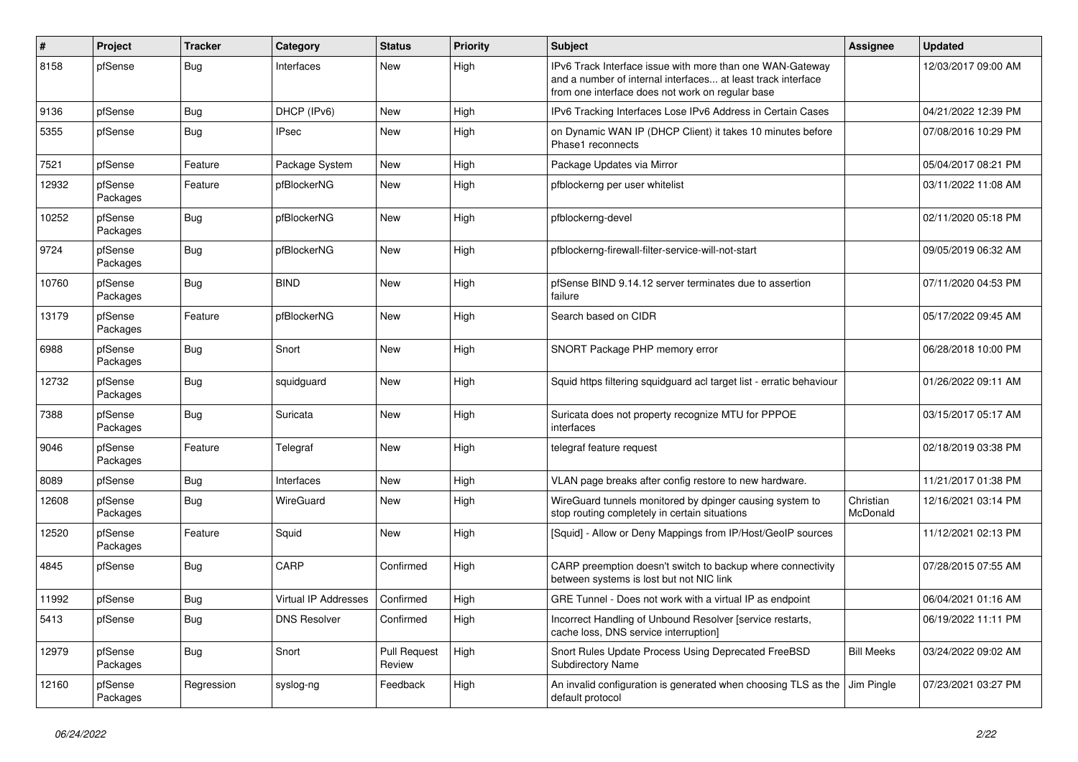| $\vert$ # | Project             | <b>Tracker</b> | Category                    | <b>Status</b>                 | Priority | <b>Subject</b>                                                                                                                                                                | Assignee              | <b>Updated</b>      |
|-----------|---------------------|----------------|-----------------------------|-------------------------------|----------|-------------------------------------------------------------------------------------------------------------------------------------------------------------------------------|-----------------------|---------------------|
| 8158      | pfSense             | Bug            | Interfaces                  | New                           | High     | IPv6 Track Interface issue with more than one WAN-Gateway<br>and a number of internal interfaces at least track interface<br>from one interface does not work on regular base |                       | 12/03/2017 09:00 AM |
| 9136      | pfSense             | <b>Bug</b>     | DHCP (IPv6)                 | New                           | High     | IPv6 Tracking Interfaces Lose IPv6 Address in Certain Cases                                                                                                                   |                       | 04/21/2022 12:39 PM |
| 5355      | pfSense             | <b>Bug</b>     | <b>IPsec</b>                | New                           | High     | on Dynamic WAN IP (DHCP Client) it takes 10 minutes before<br>Phase1 reconnects                                                                                               |                       | 07/08/2016 10:29 PM |
| 7521      | pfSense             | Feature        | Package System              | New                           | High     | Package Updates via Mirror                                                                                                                                                    |                       | 05/04/2017 08:21 PM |
| 12932     | pfSense<br>Packages | Feature        | pfBlockerNG                 | New                           | High     | pfblockerng per user whitelist                                                                                                                                                |                       | 03/11/2022 11:08 AM |
| 10252     | pfSense<br>Packages | Bug            | pfBlockerNG                 | <b>New</b>                    | High     | pfblockerng-devel                                                                                                                                                             |                       | 02/11/2020 05:18 PM |
| 9724      | pfSense<br>Packages | <b>Bug</b>     | pfBlockerNG                 | New                           | High     | pfblockerng-firewall-filter-service-will-not-start                                                                                                                            |                       | 09/05/2019 06:32 AM |
| 10760     | pfSense<br>Packages | Bug            | <b>BIND</b>                 | New                           | High     | pfSense BIND 9.14.12 server terminates due to assertion<br>failure                                                                                                            |                       | 07/11/2020 04:53 PM |
| 13179     | pfSense<br>Packages | Feature        | pfBlockerNG                 | New                           | High     | Search based on CIDR                                                                                                                                                          |                       | 05/17/2022 09:45 AM |
| 6988      | pfSense<br>Packages | <b>Bug</b>     | Snort                       | New                           | High     | SNORT Package PHP memory error                                                                                                                                                |                       | 06/28/2018 10:00 PM |
| 12732     | pfSense<br>Packages | <b>Bug</b>     | squidguard                  | New                           | High     | Squid https filtering squidguard acl target list - erratic behaviour                                                                                                          |                       | 01/26/2022 09:11 AM |
| 7388      | pfSense<br>Packages | Bug            | Suricata                    | <b>New</b>                    | High     | Suricata does not property recognize MTU for PPPOE<br>interfaces                                                                                                              |                       | 03/15/2017 05:17 AM |
| 9046      | pfSense<br>Packages | Feature        | Telegraf                    | New                           | High     | telegraf feature request                                                                                                                                                      |                       | 02/18/2019 03:38 PM |
| 8089      | pfSense             | <b>Bug</b>     | Interfaces                  | New                           | High     | VLAN page breaks after config restore to new hardware.                                                                                                                        |                       | 11/21/2017 01:38 PM |
| 12608     | pfSense<br>Packages | Bug            | WireGuard                   | New                           | High     | WireGuard tunnels monitored by dpinger causing system to<br>stop routing completely in certain situations                                                                     | Christian<br>McDonald | 12/16/2021 03:14 PM |
| 12520     | pfSense<br>Packages | Feature        | Squid                       | New                           | High     | [Squid] - Allow or Deny Mappings from IP/Host/GeoIP sources                                                                                                                   |                       | 11/12/2021 02:13 PM |
| 4845      | pfSense             | <b>Bug</b>     | CARP                        | Confirmed                     | High     | CARP preemption doesn't switch to backup where connectivity<br>between systems is lost but not NIC link                                                                       |                       | 07/28/2015 07:55 AM |
| 11992     | pfSense             | <b>Bug</b>     | <b>Virtual IP Addresses</b> | Confirmed                     | High     | GRE Tunnel - Does not work with a virtual IP as endpoint                                                                                                                      |                       | 06/04/2021 01:16 AM |
| 5413      | pfSense             | <b>Bug</b>     | <b>DNS Resolver</b>         | Confirmed                     | High     | Incorrect Handling of Unbound Resolver [service restarts,<br>cache loss, DNS service interruption]                                                                            |                       | 06/19/2022 11:11 PM |
| 12979     | pfSense<br>Packages | Bug            | Snort                       | <b>Pull Request</b><br>Review | High     | Snort Rules Update Process Using Deprecated FreeBSD<br>Subdirectory Name                                                                                                      | <b>Bill Meeks</b>     | 03/24/2022 09:02 AM |
| 12160     | pfSense<br>Packages | Regression     | syslog-ng                   | Feedback                      | High     | An invalid configuration is generated when choosing TLS as the Jim Pingle<br>default protocol                                                                                 |                       | 07/23/2021 03:27 PM |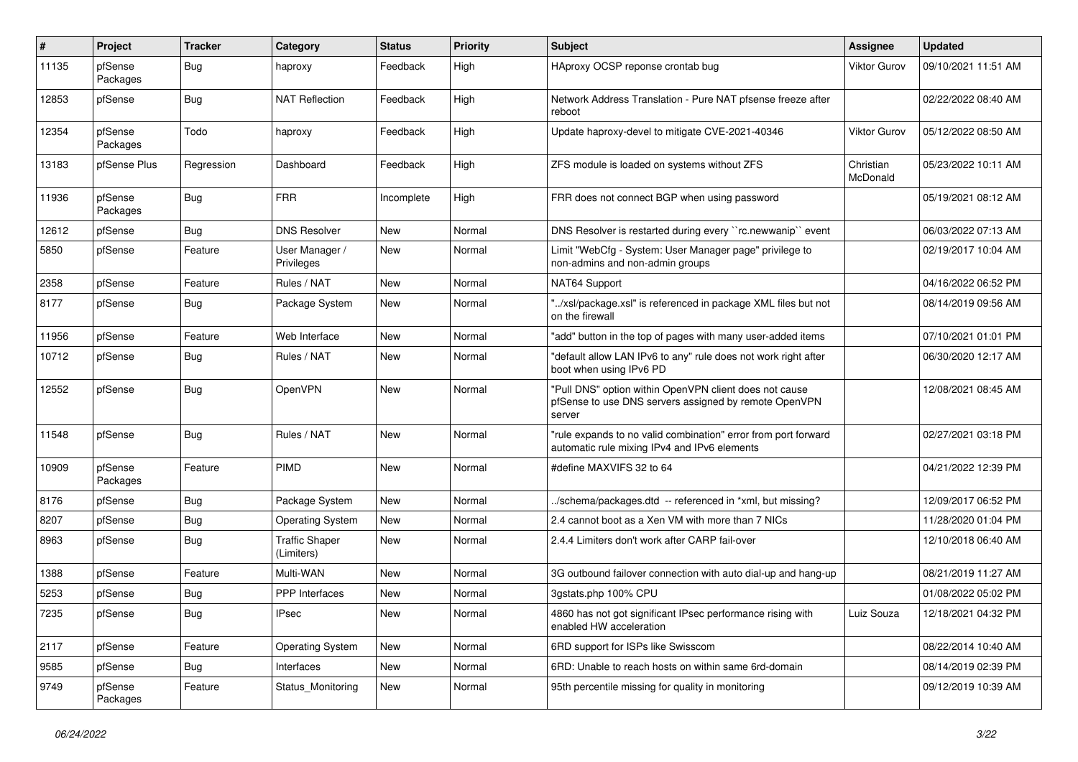| #     | Project             | <b>Tracker</b> | Category                            | <b>Status</b> | Priority | <b>Subject</b>                                                                                                            | <b>Assignee</b>       | <b>Updated</b>      |
|-------|---------------------|----------------|-------------------------------------|---------------|----------|---------------------------------------------------------------------------------------------------------------------------|-----------------------|---------------------|
| 11135 | pfSense<br>Packages | <b>Bug</b>     | haproxy                             | Feedback      | High     | HAproxy OCSP reponse crontab bug                                                                                          | <b>Viktor Gurov</b>   | 09/10/2021 11:51 AM |
| 12853 | pfSense             | Bug            | <b>NAT Reflection</b>               | Feedback      | High     | Network Address Translation - Pure NAT pfsense freeze after<br>reboot                                                     |                       | 02/22/2022 08:40 AM |
| 12354 | pfSense<br>Packages | Todo           | haproxy                             | Feedback      | High     | Update haproxy-devel to mitigate CVE-2021-40346                                                                           | <b>Viktor Gurov</b>   | 05/12/2022 08:50 AM |
| 13183 | pfSense Plus        | Regression     | Dashboard                           | Feedback      | High     | ZFS module is loaded on systems without ZFS                                                                               | Christian<br>McDonald | 05/23/2022 10:11 AM |
| 11936 | pfSense<br>Packages | <b>Bug</b>     | <b>FRR</b>                          | Incomplete    | High     | FRR does not connect BGP when using password                                                                              |                       | 05/19/2021 08:12 AM |
| 12612 | pfSense             | Bug            | <b>DNS Resolver</b>                 | New           | Normal   | DNS Resolver is restarted during every "rc.newwanip" event                                                                |                       | 06/03/2022 07:13 AM |
| 5850  | pfSense             | Feature        | User Manager /<br>Privileges        | New           | Normal   | Limit "WebCfg - System: User Manager page" privilege to<br>non-admins and non-admin groups                                |                       | 02/19/2017 10:04 AM |
| 2358  | pfSense             | Feature        | Rules / NAT                         | <b>New</b>    | Normal   | NAT64 Support                                                                                                             |                       | 04/16/2022 06:52 PM |
| 8177  | pfSense             | <b>Bug</b>     | Package System                      | <b>New</b>    | Normal   | "/xsl/package.xsl" is referenced in package XML files but not<br>on the firewall                                          |                       | 08/14/2019 09:56 AM |
| 11956 | pfSense             | Feature        | Web Interface                       | <b>New</b>    | Normal   | "add" button in the top of pages with many user-added items                                                               |                       | 07/10/2021 01:01 PM |
| 10712 | pfSense             | <b>Bug</b>     | Rules / NAT                         | New           | Normal   | 'default allow LAN IPv6 to any" rule does not work right after<br>boot when using IPv6 PD                                 |                       | 06/30/2020 12:17 AM |
| 12552 | pfSense             | Bug            | <b>OpenVPN</b>                      | New           | Normal   | "Pull DNS" option within OpenVPN client does not cause<br>pfSense to use DNS servers assigned by remote OpenVPN<br>server |                       | 12/08/2021 08:45 AM |
| 11548 | pfSense             | Bug            | Rules / NAT                         | <b>New</b>    | Normal   | "rule expands to no valid combination" error from port forward<br>automatic rule mixing IPv4 and IPv6 elements            |                       | 02/27/2021 03:18 PM |
| 10909 | pfSense<br>Packages | Feature        | PIMD                                | <b>New</b>    | Normal   | #define MAXVIFS 32 to 64                                                                                                  |                       | 04/21/2022 12:39 PM |
| 8176  | pfSense             | <b>Bug</b>     | Package System                      | <b>New</b>    | Normal   | ./schema/packages.dtd -- referenced in *xml, but missing?                                                                 |                       | 12/09/2017 06:52 PM |
| 8207  | pfSense             | <b>Bug</b>     | <b>Operating System</b>             | New           | Normal   | 2.4 cannot boot as a Xen VM with more than 7 NICs                                                                         |                       | 11/28/2020 01:04 PM |
| 8963  | pfSense             | Bug            | <b>Traffic Shaper</b><br>(Limiters) | New           | Normal   | 2.4.4 Limiters don't work after CARP fail-over                                                                            |                       | 12/10/2018 06:40 AM |
| 1388  | pfSense             | Feature        | Multi-WAN                           | <b>New</b>    | Normal   | 3G outbound failover connection with auto dial-up and hang-up                                                             |                       | 08/21/2019 11:27 AM |
| 5253  | pfSense             | <b>Bug</b>     | <b>PPP</b> Interfaces               | <b>New</b>    | Normal   | 3qstats.php 100% CPU                                                                                                      |                       | 01/08/2022 05:02 PM |
| 7235  | pfSense             | <b>Bug</b>     | <b>IPsec</b>                        | <b>New</b>    | Normal   | 4860 has not got significant IPsec performance rising with<br>enabled HW acceleration                                     | Luiz Souza            | 12/18/2021 04:32 PM |
| 2117  | pfSense             | Feature        | <b>Operating System</b>             | New           | Normal   | 6RD support for ISPs like Swisscom                                                                                        |                       | 08/22/2014 10:40 AM |
| 9585  | pfSense             | Bug            | Interfaces                          | New           | Normal   | 6RD: Unable to reach hosts on within same 6rd-domain                                                                      |                       | 08/14/2019 02:39 PM |
| 9749  | pfSense<br>Packages | Feature        | Status Monitoring                   | New           | Normal   | 95th percentile missing for quality in monitoring                                                                         |                       | 09/12/2019 10:39 AM |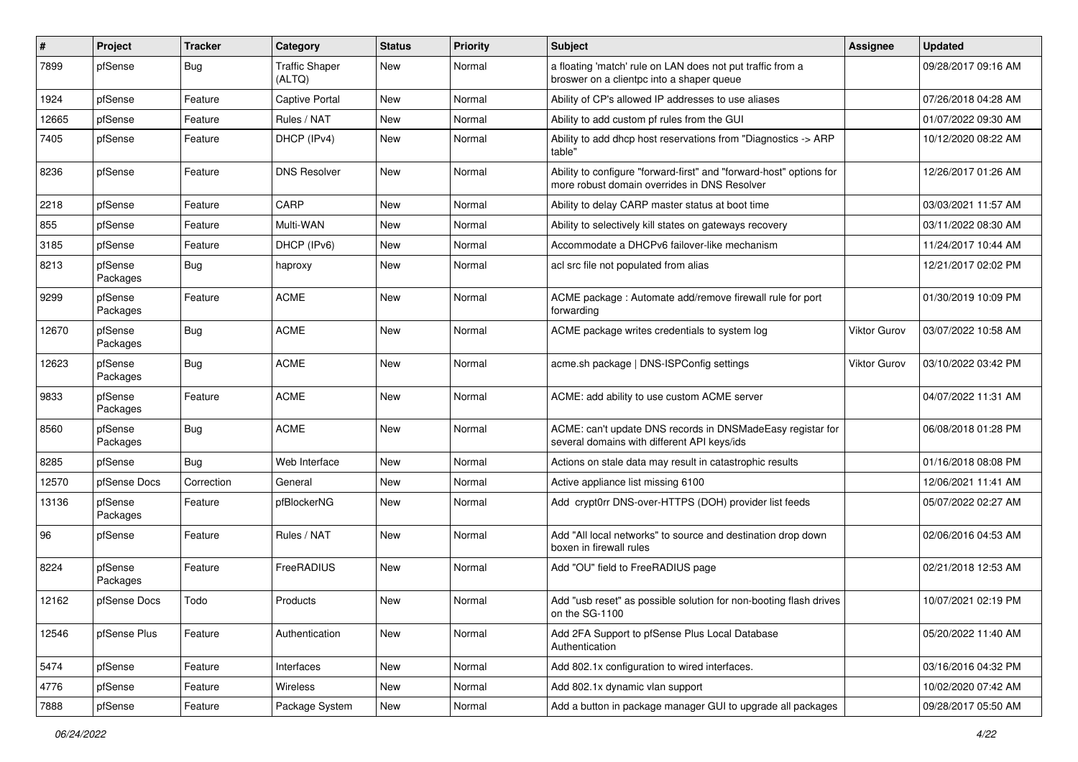| ∦     | Project             | <b>Tracker</b> | Category                        | <b>Status</b> | <b>Priority</b> | Subject                                                                                                             | <b>Assignee</b>     | <b>Updated</b>      |
|-------|---------------------|----------------|---------------------------------|---------------|-----------------|---------------------------------------------------------------------------------------------------------------------|---------------------|---------------------|
| 7899  | pfSense             | Bug            | <b>Traffic Shaper</b><br>(ALTQ) | New           | Normal          | a floating 'match' rule on LAN does not put traffic from a<br>broswer on a clientpc into a shaper queue             |                     | 09/28/2017 09:16 AM |
| 1924  | pfSense             | Feature        | <b>Captive Portal</b>           | New           | Normal          | Ability of CP's allowed IP addresses to use aliases                                                                 |                     | 07/26/2018 04:28 AM |
| 12665 | pfSense             | Feature        | Rules / NAT                     | New           | Normal          | Ability to add custom pf rules from the GUI                                                                         |                     | 01/07/2022 09:30 AM |
| 7405  | pfSense             | Feature        | DHCP (IPv4)                     | <b>New</b>    | Normal          | Ability to add dhcp host reservations from "Diagnostics -> ARP<br>table"                                            |                     | 10/12/2020 08:22 AM |
| 8236  | pfSense             | Feature        | <b>DNS Resolver</b>             | New           | Normal          | Ability to configure "forward-first" and "forward-host" options for<br>more robust domain overrides in DNS Resolver |                     | 12/26/2017 01:26 AM |
| 2218  | pfSense             | Feature        | CARP                            | <b>New</b>    | Normal          | Ability to delay CARP master status at boot time                                                                    |                     | 03/03/2021 11:57 AM |
| 855   | pfSense             | Feature        | Multi-WAN                       | <b>New</b>    | Normal          | Ability to selectively kill states on gateways recovery                                                             |                     | 03/11/2022 08:30 AM |
| 3185  | pfSense             | Feature        | DHCP (IPv6)                     | New           | Normal          | Accommodate a DHCPv6 failover-like mechanism                                                                        |                     | 11/24/2017 10:44 AM |
| 8213  | pfSense<br>Packages | Bug            | haproxy                         | New           | Normal          | acl src file not populated from alias                                                                               |                     | 12/21/2017 02:02 PM |
| 9299  | pfSense<br>Packages | Feature        | <b>ACME</b>                     | New           | Normal          | ACME package: Automate add/remove firewall rule for port<br>forwarding                                              |                     | 01/30/2019 10:09 PM |
| 12670 | pfSense<br>Packages | <b>Bug</b>     | <b>ACME</b>                     | <b>New</b>    | Normal          | ACME package writes credentials to system log                                                                       | <b>Viktor Gurov</b> | 03/07/2022 10:58 AM |
| 12623 | pfSense<br>Packages | <b>Bug</b>     | <b>ACME</b>                     | <b>New</b>    | Normal          | acme.sh package   DNS-ISPConfig settings                                                                            | <b>Viktor Gurov</b> | 03/10/2022 03:42 PM |
| 9833  | pfSense<br>Packages | Feature        | <b>ACME</b>                     | <b>New</b>    | Normal          | ACME: add ability to use custom ACME server                                                                         |                     | 04/07/2022 11:31 AM |
| 8560  | pfSense<br>Packages | Bug            | <b>ACME</b>                     | <b>New</b>    | Normal          | ACME: can't update DNS records in DNSMadeEasy registar for<br>several domains with different API keys/ids           |                     | 06/08/2018 01:28 PM |
| 8285  | pfSense             | Bug            | Web Interface                   | <b>New</b>    | Normal          | Actions on stale data may result in catastrophic results                                                            |                     | 01/16/2018 08:08 PM |
| 12570 | pfSense Docs        | Correction     | General                         | New           | Normal          | Active appliance list missing 6100                                                                                  |                     | 12/06/2021 11:41 AM |
| 13136 | pfSense<br>Packages | Feature        | pfBlockerNG                     | New           | Normal          | Add crypt0rr DNS-over-HTTPS (DOH) provider list feeds                                                               |                     | 05/07/2022 02:27 AM |
| 96    | pfSense             | Feature        | Rules / NAT                     | <b>New</b>    | Normal          | Add "All local networks" to source and destination drop down<br>boxen in firewall rules                             |                     | 02/06/2016 04:53 AM |
| 8224  | pfSense<br>Packages | Feature        | FreeRADIUS                      | New           | Normal          | Add "OU" field to FreeRADIUS page                                                                                   |                     | 02/21/2018 12:53 AM |
| 12162 | pfSense Docs        | Todo           | Products                        | <b>New</b>    | Normal          | Add "usb reset" as possible solution for non-booting flash drives<br>on the SG-1100                                 |                     | 10/07/2021 02:19 PM |
| 12546 | pfSense Plus        | Feature        | Authentication                  | <b>New</b>    | Normal          | Add 2FA Support to pfSense Plus Local Database<br>Authentication                                                    |                     | 05/20/2022 11:40 AM |
| 5474  | pfSense             | Feature        | Interfaces                      | New           | Normal          | Add 802.1x configuration to wired interfaces.                                                                       |                     | 03/16/2016 04:32 PM |
| 4776  | pfSense             | Feature        | Wireless                        | New           | Normal          | Add 802.1x dynamic vlan support                                                                                     |                     | 10/02/2020 07:42 AM |
| 7888  | pfSense             | Feature        | Package System                  | New           | Normal          | Add a button in package manager GUI to upgrade all packages                                                         |                     | 09/28/2017 05:50 AM |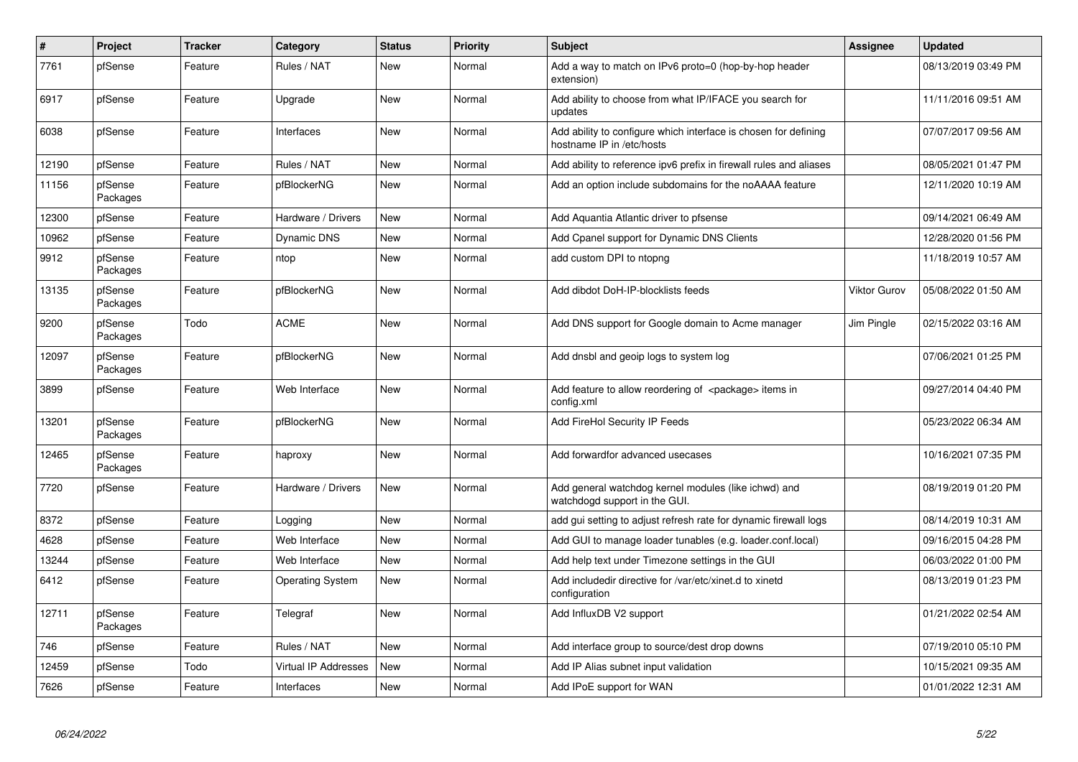| $\vert$ # | Project             | <b>Tracker</b> | Category                    | <b>Status</b> | Priority | <b>Subject</b>                                                                               | <b>Assignee</b> | <b>Updated</b>      |
|-----------|---------------------|----------------|-----------------------------|---------------|----------|----------------------------------------------------------------------------------------------|-----------------|---------------------|
| 7761      | pfSense             | Feature        | Rules / NAT                 | New           | Normal   | Add a way to match on IPv6 proto=0 (hop-by-hop header<br>extension)                          |                 | 08/13/2019 03:49 PM |
| 6917      | pfSense             | Feature        | Upgrade                     | New           | Normal   | Add ability to choose from what IP/IFACE you search for<br>updates                           |                 | 11/11/2016 09:51 AM |
| 6038      | pfSense             | Feature        | Interfaces                  | New           | Normal   | Add ability to configure which interface is chosen for defining<br>hostname IP in /etc/hosts |                 | 07/07/2017 09:56 AM |
| 12190     | pfSense             | Feature        | Rules / NAT                 | New           | Normal   | Add ability to reference ipv6 prefix in firewall rules and aliases                           |                 | 08/05/2021 01:47 PM |
| 11156     | pfSense<br>Packages | Feature        | pfBlockerNG                 | New           | Normal   | Add an option include subdomains for the noAAAA feature                                      |                 | 12/11/2020 10:19 AM |
| 12300     | pfSense             | Feature        | Hardware / Drivers          | New           | Normal   | Add Aquantia Atlantic driver to pfsense                                                      |                 | 09/14/2021 06:49 AM |
| 10962     | pfSense             | Feature        | <b>Dynamic DNS</b>          | New           | Normal   | Add Cpanel support for Dynamic DNS Clients                                                   |                 | 12/28/2020 01:56 PM |
| 9912      | pfSense<br>Packages | Feature        | ntop                        | New           | Normal   | add custom DPI to ntopng                                                                     |                 | 11/18/2019 10:57 AM |
| 13135     | pfSense<br>Packages | Feature        | pfBlockerNG                 | New           | Normal   | Add dibdot DoH-IP-blocklists feeds                                                           | Viktor Gurov    | 05/08/2022 01:50 AM |
| 9200      | pfSense<br>Packages | Todo           | <b>ACME</b>                 | <b>New</b>    | Normal   | Add DNS support for Google domain to Acme manager                                            | Jim Pingle      | 02/15/2022 03:16 AM |
| 12097     | pfSense<br>Packages | Feature        | pfBlockerNG                 | New           | Normal   | Add dnsbl and geoip logs to system log                                                       |                 | 07/06/2021 01:25 PM |
| 3899      | pfSense             | Feature        | Web Interface               | New           | Normal   | Add feature to allow reordering of <package> items in<br/>config.xml</package>               |                 | 09/27/2014 04:40 PM |
| 13201     | pfSense<br>Packages | Feature        | pfBlockerNG                 | <b>New</b>    | Normal   | Add FireHol Security IP Feeds                                                                |                 | 05/23/2022 06:34 AM |
| 12465     | pfSense<br>Packages | Feature        | haproxy                     | <b>New</b>    | Normal   | Add forwardfor advanced usecases                                                             |                 | 10/16/2021 07:35 PM |
| 7720      | pfSense             | Feature        | Hardware / Drivers          | New           | Normal   | Add general watchdog kernel modules (like ichwd) and<br>watchdogd support in the GUI.        |                 | 08/19/2019 01:20 PM |
| 8372      | pfSense             | Feature        | Logging                     | New           | Normal   | add gui setting to adjust refresh rate for dynamic firewall logs                             |                 | 08/14/2019 10:31 AM |
| 4628      | pfSense             | Feature        | Web Interface               | New           | Normal   | Add GUI to manage loader tunables (e.g. loader.conf.local)                                   |                 | 09/16/2015 04:28 PM |
| 13244     | pfSense             | Feature        | Web Interface               | New           | Normal   | Add help text under Timezone settings in the GUI                                             |                 | 06/03/2022 01:00 PM |
| 6412      | pfSense             | Feature        | <b>Operating System</b>     | New           | Normal   | Add includedir directive for /var/etc/xinet.d to xinetd<br>configuration                     |                 | 08/13/2019 01:23 PM |
| 12711     | pfSense<br>Packages | Feature        | Telegraf                    | New           | Normal   | Add InfluxDB V2 support                                                                      |                 | 01/21/2022 02:54 AM |
| 746       | pfSense             | Feature        | Rules / NAT                 | New           | Normal   | Add interface group to source/dest drop downs                                                |                 | 07/19/2010 05:10 PM |
| 12459     | pfSense             | Todo           | <b>Virtual IP Addresses</b> | New           | Normal   | Add IP Alias subnet input validation                                                         |                 | 10/15/2021 09:35 AM |
| 7626      | pfSense             | Feature        | Interfaces                  | New           | Normal   | Add IPoE support for WAN                                                                     |                 | 01/01/2022 12:31 AM |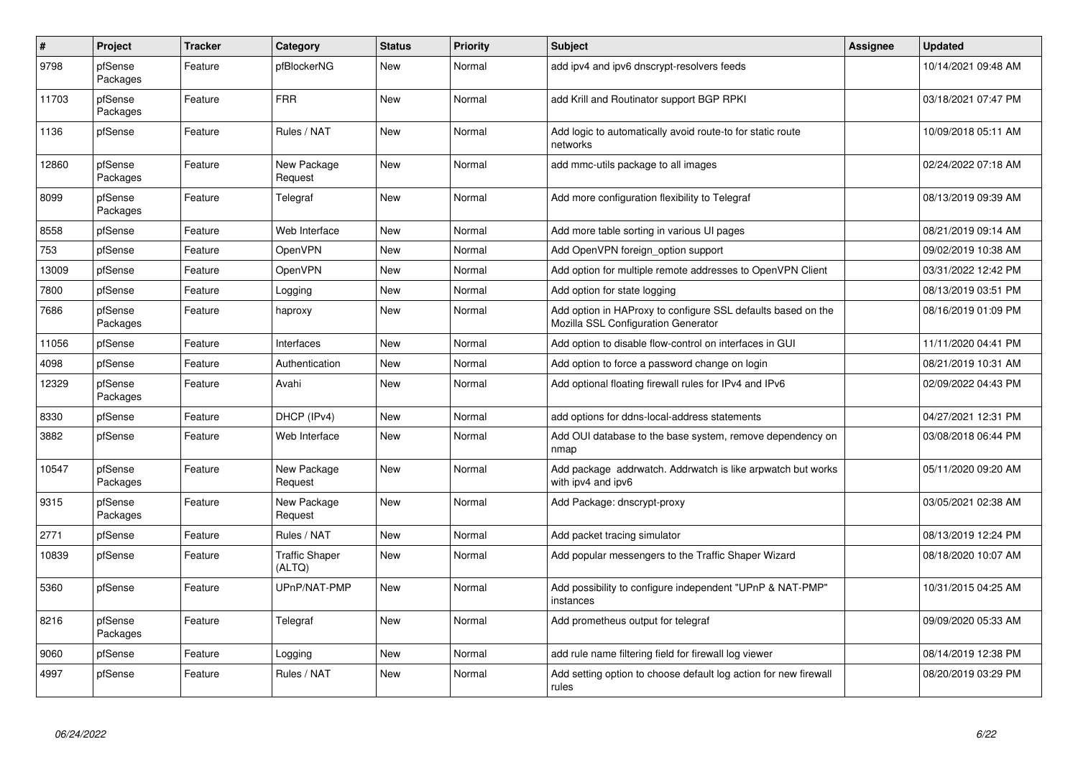| $\vert$ # | Project             | <b>Tracker</b> | Category                        | <b>Status</b> | <b>Priority</b> | <b>Subject</b>                                                                                      | <b>Assignee</b> | <b>Updated</b>      |
|-----------|---------------------|----------------|---------------------------------|---------------|-----------------|-----------------------------------------------------------------------------------------------------|-----------------|---------------------|
| 9798      | pfSense<br>Packages | Feature        | pfBlockerNG                     | New           | Normal          | add ipv4 and ipv6 dnscrypt-resolvers feeds                                                          |                 | 10/14/2021 09:48 AM |
| 11703     | pfSense<br>Packages | Feature        | <b>FRR</b>                      | New           | Normal          | add Krill and Routinator support BGP RPKI                                                           |                 | 03/18/2021 07:47 PM |
| 1136      | pfSense             | Feature        | Rules / NAT                     | New           | Normal          | Add logic to automatically avoid route-to for static route<br>networks                              |                 | 10/09/2018 05:11 AM |
| 12860     | pfSense<br>Packages | Feature        | New Package<br>Request          | <b>New</b>    | Normal          | add mmc-utils package to all images                                                                 |                 | 02/24/2022 07:18 AM |
| 8099      | pfSense<br>Packages | Feature        | Telegraf                        | <b>New</b>    | Normal          | Add more configuration flexibility to Telegraf                                                      |                 | 08/13/2019 09:39 AM |
| 8558      | pfSense             | Feature        | Web Interface                   | New           | Normal          | Add more table sorting in various UI pages                                                          |                 | 08/21/2019 09:14 AM |
| 753       | pfSense             | Feature        | <b>OpenVPN</b>                  | New           | Normal          | Add OpenVPN foreign option support                                                                  |                 | 09/02/2019 10:38 AM |
| 13009     | pfSense             | Feature        | <b>OpenVPN</b>                  | <b>New</b>    | Normal          | Add option for multiple remote addresses to OpenVPN Client                                          |                 | 03/31/2022 12:42 PM |
| 7800      | pfSense             | Feature        | Logging                         | New           | Normal          | Add option for state logging                                                                        |                 | 08/13/2019 03:51 PM |
| 7686      | pfSense<br>Packages | Feature        | haproxy                         | New           | Normal          | Add option in HAProxy to configure SSL defaults based on the<br>Mozilla SSL Configuration Generator |                 | 08/16/2019 01:09 PM |
| 11056     | pfSense             | Feature        | Interfaces                      | <b>New</b>    | Normal          | Add option to disable flow-control on interfaces in GUI                                             |                 | 11/11/2020 04:41 PM |
| 4098      | pfSense             | Feature        | Authentication                  | New           | Normal          | Add option to force a password change on login                                                      |                 | 08/21/2019 10:31 AM |
| 12329     | pfSense<br>Packages | Feature        | Avahi                           | New           | Normal          | Add optional floating firewall rules for IPv4 and IPv6                                              |                 | 02/09/2022 04:43 PM |
| 8330      | pfSense             | Feature        | DHCP (IPv4)                     | New           | Normal          | add options for ddns-local-address statements                                                       |                 | 04/27/2021 12:31 PM |
| 3882      | pfSense             | Feature        | Web Interface                   | New           | Normal          | Add OUI database to the base system, remove dependency on<br>nmap                                   |                 | 03/08/2018 06:44 PM |
| 10547     | pfSense<br>Packages | Feature        | New Package<br>Request          | New           | Normal          | Add package addrwatch. Addrwatch is like arpwatch but works<br>with ipv4 and ipv6                   |                 | 05/11/2020 09:20 AM |
| 9315      | pfSense<br>Packages | Feature        | New Package<br>Request          | <b>New</b>    | Normal          | Add Package: dnscrypt-proxy                                                                         |                 | 03/05/2021 02:38 AM |
| 2771      | pfSense             | Feature        | Rules / NAT                     | New           | Normal          | Add packet tracing simulator                                                                        |                 | 08/13/2019 12:24 PM |
| 10839     | pfSense             | Feature        | <b>Traffic Shaper</b><br>(ALTQ) | <b>New</b>    | Normal          | Add popular messengers to the Traffic Shaper Wizard                                                 |                 | 08/18/2020 10:07 AM |
| 5360      | pfSense             | Feature        | UPnP/NAT-PMP                    | New           | Normal          | Add possibility to configure independent "UPnP & NAT-PMP"<br>instances                              |                 | 10/31/2015 04:25 AM |
| 8216      | pfSense<br>Packages | Feature        | Telegraf                        | New           | Normal          | Add prometheus output for telegraf                                                                  |                 | 09/09/2020 05:33 AM |
| 9060      | pfSense             | Feature        | Logging                         | New           | Normal          | add rule name filtering field for firewall log viewer                                               |                 | 08/14/2019 12:38 PM |
| 4997      | pfSense             | Feature        | Rules / NAT                     | New           | Normal          | Add setting option to choose default log action for new firewall<br>rules                           |                 | 08/20/2019 03:29 PM |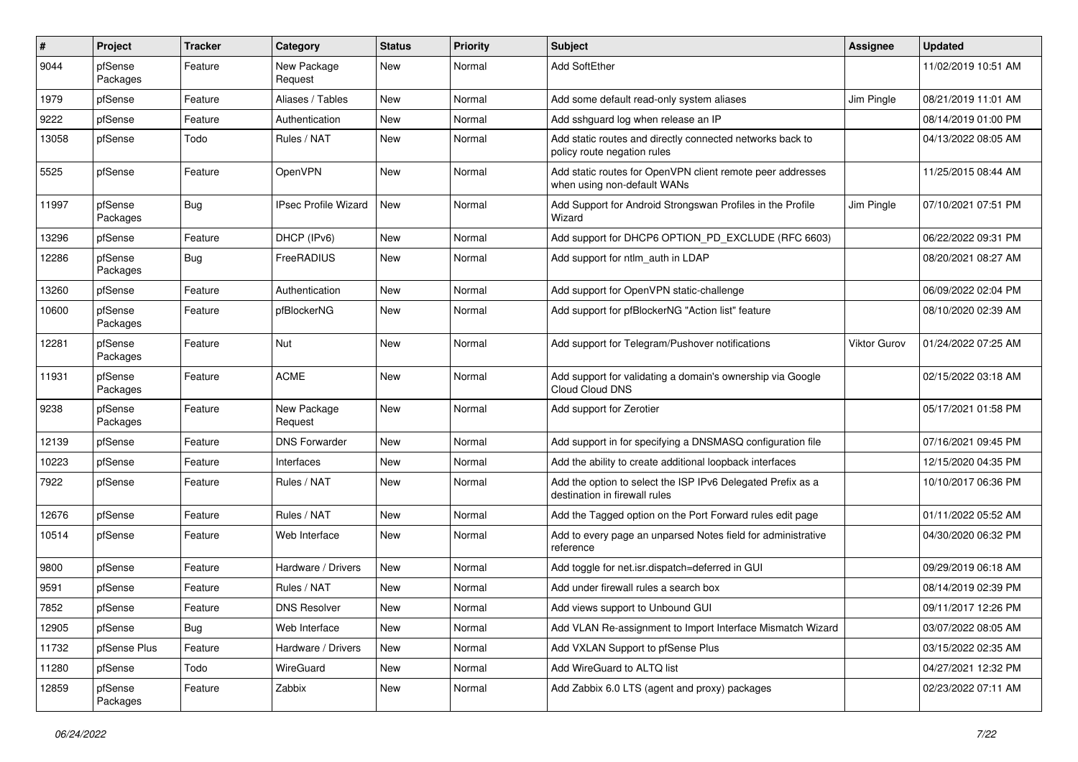| #     | Project             | Tracker    | Category                    | <b>Status</b> | <b>Priority</b> | Subject                                                                                      | <b>Assignee</b> | <b>Updated</b>      |
|-------|---------------------|------------|-----------------------------|---------------|-----------------|----------------------------------------------------------------------------------------------|-----------------|---------------------|
| 9044  | pfSense<br>Packages | Feature    | New Package<br>Request      | New           | Normal          | <b>Add SoftEther</b>                                                                         |                 | 11/02/2019 10:51 AM |
| 1979  | pfSense             | Feature    | Aliases / Tables            | New           | Normal          | Add some default read-only system aliases                                                    | Jim Pingle      | 08/21/2019 11:01 AM |
| 9222  | pfSense             | Feature    | Authentication              | New           | Normal          | Add sshguard log when release an IP                                                          |                 | 08/14/2019 01:00 PM |
| 13058 | pfSense             | Todo       | Rules / NAT                 | New           | Normal          | Add static routes and directly connected networks back to<br>policy route negation rules     |                 | 04/13/2022 08:05 AM |
| 5525  | pfSense             | Feature    | OpenVPN                     | New           | Normal          | Add static routes for OpenVPN client remote peer addresses<br>when using non-default WANs    |                 | 11/25/2015 08:44 AM |
| 11997 | pfSense<br>Packages | Bug        | <b>IPsec Profile Wizard</b> | <b>New</b>    | Normal          | Add Support for Android Strongswan Profiles in the Profile<br>Wizard                         | Jim Pingle      | 07/10/2021 07:51 PM |
| 13296 | pfSense             | Feature    | DHCP (IPv6)                 | New           | Normal          | Add support for DHCP6 OPTION_PD_EXCLUDE (RFC 6603)                                           |                 | 06/22/2022 09:31 PM |
| 12286 | pfSense<br>Packages | <b>Bug</b> | FreeRADIUS                  | New           | Normal          | Add support for ntlm auth in LDAP                                                            |                 | 08/20/2021 08:27 AM |
| 13260 | pfSense             | Feature    | Authentication              | New           | Normal          | Add support for OpenVPN static-challenge                                                     |                 | 06/09/2022 02:04 PM |
| 10600 | pfSense<br>Packages | Feature    | pfBlockerNG                 | New           | Normal          | Add support for pfBlockerNG "Action list" feature                                            |                 | 08/10/2020 02:39 AM |
| 12281 | pfSense<br>Packages | Feature    | Nut                         | New           | Normal          | Add support for Telegram/Pushover notifications                                              | Viktor Gurov    | 01/24/2022 07:25 AM |
| 11931 | pfSense<br>Packages | Feature    | <b>ACME</b>                 | New           | Normal          | Add support for validating a domain's ownership via Google<br>Cloud Cloud DNS                |                 | 02/15/2022 03:18 AM |
| 9238  | pfSense<br>Packages | Feature    | New Package<br>Request      | New           | Normal          | Add support for Zerotier                                                                     |                 | 05/17/2021 01:58 PM |
| 12139 | pfSense             | Feature    | <b>DNS Forwarder</b>        | New           | Normal          | Add support in for specifying a DNSMASQ configuration file                                   |                 | 07/16/2021 09:45 PM |
| 10223 | pfSense             | Feature    | Interfaces                  | New           | Normal          | Add the ability to create additional loopback interfaces                                     |                 | 12/15/2020 04:35 PM |
| 7922  | pfSense             | Feature    | Rules / NAT                 | New           | Normal          | Add the option to select the ISP IPv6 Delegated Prefix as a<br>destination in firewall rules |                 | 10/10/2017 06:36 PM |
| 12676 | pfSense             | Feature    | Rules / NAT                 | <b>New</b>    | Normal          | Add the Tagged option on the Port Forward rules edit page                                    |                 | 01/11/2022 05:52 AM |
| 10514 | pfSense             | Feature    | Web Interface               | New           | Normal          | Add to every page an unparsed Notes field for administrative<br>reference                    |                 | 04/30/2020 06:32 PM |
| 9800  | pfSense             | Feature    | Hardware / Drivers          | New           | Normal          | Add toggle for net.isr.dispatch=deferred in GUI                                              |                 | 09/29/2019 06:18 AM |
| 9591  | pfSense             | Feature    | Rules / NAT                 | New           | Normal          | Add under firewall rules a search box                                                        |                 | 08/14/2019 02:39 PM |
| 7852  | pfSense             | Feature    | <b>DNS Resolver</b>         | New           | Normal          | Add views support to Unbound GUI                                                             |                 | 09/11/2017 12:26 PM |
| 12905 | pfSense             | Bug        | Web Interface               | New           | Normal          | Add VLAN Re-assignment to Import Interface Mismatch Wizard                                   |                 | 03/07/2022 08:05 AM |
| 11732 | pfSense Plus        | Feature    | Hardware / Drivers          | New           | Normal          | Add VXLAN Support to pfSense Plus                                                            |                 | 03/15/2022 02:35 AM |
| 11280 | pfSense             | Todo       | WireGuard                   | New           | Normal          | Add WireGuard to ALTQ list                                                                   |                 | 04/27/2021 12:32 PM |
| 12859 | pfSense<br>Packages | Feature    | Zabbix                      | New           | Normal          | Add Zabbix 6.0 LTS (agent and proxy) packages                                                |                 | 02/23/2022 07:11 AM |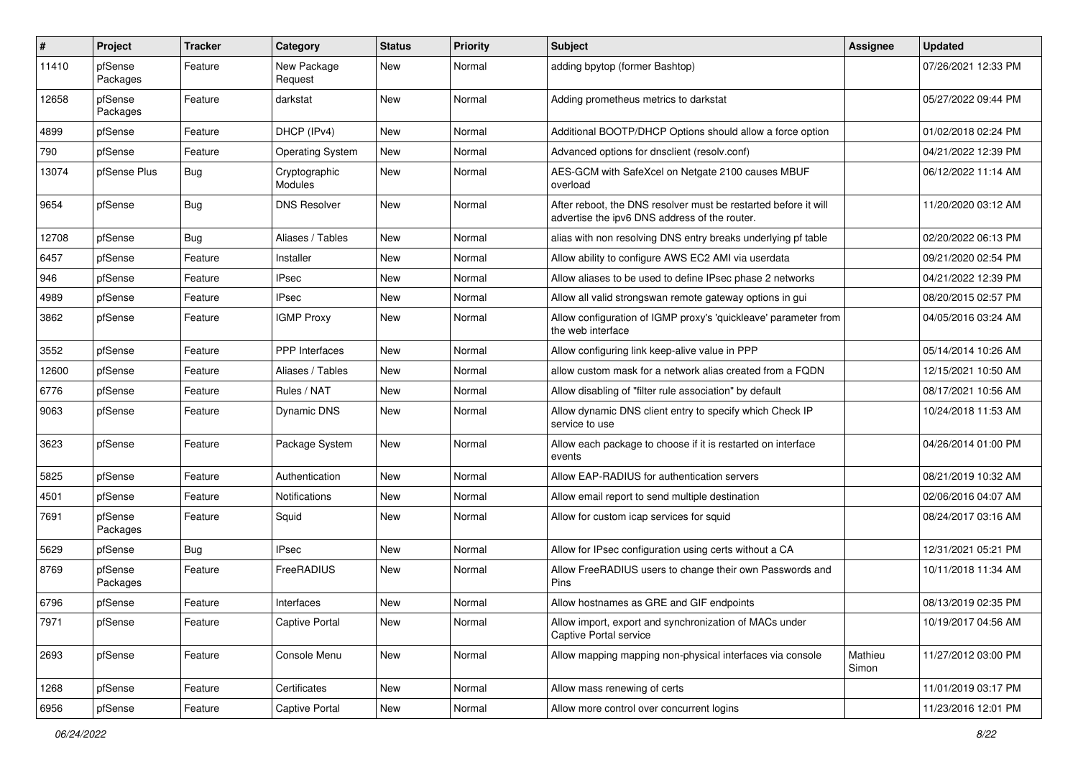| $\sharp$ | Project             | <b>Tracker</b> | Category                 | <b>Status</b> | <b>Priority</b> | <b>Subject</b>                                                                                                   | <b>Assignee</b>  | <b>Updated</b>      |
|----------|---------------------|----------------|--------------------------|---------------|-----------------|------------------------------------------------------------------------------------------------------------------|------------------|---------------------|
| 11410    | pfSense<br>Packages | Feature        | New Package<br>Request   | New           | Normal          | adding bpytop (former Bashtop)                                                                                   |                  | 07/26/2021 12:33 PM |
| 12658    | pfSense<br>Packages | Feature        | darkstat                 | New           | Normal          | Adding prometheus metrics to darkstat                                                                            |                  | 05/27/2022 09:44 PM |
| 4899     | pfSense             | Feature        | DHCP (IPv4)              | <b>New</b>    | Normal          | Additional BOOTP/DHCP Options should allow a force option                                                        |                  | 01/02/2018 02:24 PM |
| 790      | pfSense             | Feature        | <b>Operating System</b>  | New           | Normal          | Advanced options for dnsclient (resolv.conf)                                                                     |                  | 04/21/2022 12:39 PM |
| 13074    | pfSense Plus        | Bug            | Cryptographic<br>Modules | New           | Normal          | AES-GCM with SafeXcel on Netgate 2100 causes MBUF<br>overload                                                    |                  | 06/12/2022 11:14 AM |
| 9654     | pfSense             | Bug            | <b>DNS Resolver</b>      | New           | Normal          | After reboot, the DNS resolver must be restarted before it will<br>advertise the ipv6 DNS address of the router. |                  | 11/20/2020 03:12 AM |
| 12708    | pfSense             | Bug            | Aliases / Tables         | New           | Normal          | alias with non resolving DNS entry breaks underlying pf table                                                    |                  | 02/20/2022 06:13 PM |
| 6457     | pfSense             | Feature        | Installer                | New           | Normal          | Allow ability to configure AWS EC2 AMI via userdata                                                              |                  | 09/21/2020 02:54 PM |
| 946      | pfSense             | Feature        | <b>IPsec</b>             | New           | Normal          | Allow aliases to be used to define IPsec phase 2 networks                                                        |                  | 04/21/2022 12:39 PM |
| 4989     | pfSense             | Feature        | <b>IPsec</b>             | New           | Normal          | Allow all valid strongswan remote gateway options in gui                                                         |                  | 08/20/2015 02:57 PM |
| 3862     | pfSense             | Feature        | <b>IGMP Proxy</b>        | New           | Normal          | Allow configuration of IGMP proxy's 'quickleave' parameter from<br>the web interface                             |                  | 04/05/2016 03:24 AM |
| 3552     | pfSense             | Feature        | PPP Interfaces           | <b>New</b>    | Normal          | Allow configuring link keep-alive value in PPP                                                                   |                  | 05/14/2014 10:26 AM |
| 12600    | pfSense             | Feature        | Aliases / Tables         | New           | Normal          | allow custom mask for a network alias created from a FQDN                                                        |                  | 12/15/2021 10:50 AM |
| 6776     | pfSense             | Feature        | Rules / NAT              | New           | Normal          | Allow disabling of "filter rule association" by default                                                          |                  | 08/17/2021 10:56 AM |
| 9063     | pfSense             | Feature        | <b>Dynamic DNS</b>       | New           | Normal          | Allow dynamic DNS client entry to specify which Check IP<br>service to use                                       |                  | 10/24/2018 11:53 AM |
| 3623     | pfSense             | Feature        | Package System           | New           | Normal          | Allow each package to choose if it is restarted on interface<br>events                                           |                  | 04/26/2014 01:00 PM |
| 5825     | pfSense             | Feature        | Authentication           | New           | Normal          | Allow EAP-RADIUS for authentication servers                                                                      |                  | 08/21/2019 10:32 AM |
| 4501     | pfSense             | Feature        | Notifications            | New           | Normal          | Allow email report to send multiple destination                                                                  |                  | 02/06/2016 04:07 AM |
| 7691     | pfSense<br>Packages | Feature        | Squid                    | New           | Normal          | Allow for custom icap services for squid                                                                         |                  | 08/24/2017 03:16 AM |
| 5629     | pfSense             | Bug            | <b>IPsec</b>             | New           | Normal          | Allow for IPsec configuration using certs without a CA                                                           |                  | 12/31/2021 05:21 PM |
| 8769     | pfSense<br>Packages | Feature        | FreeRADIUS               | New           | Normal          | Allow FreeRADIUS users to change their own Passwords and<br>Pins                                                 |                  | 10/11/2018 11:34 AM |
| 6796     | pfSense             | Feature        | Interfaces               | New           | Normal          | Allow hostnames as GRE and GIF endpoints                                                                         |                  | 08/13/2019 02:35 PM |
| 7971     | pfSense             | Feature        | Captive Portal           | New           | Normal          | Allow import, export and synchronization of MACs under<br>Captive Portal service                                 |                  | 10/19/2017 04:56 AM |
| 2693     | pfSense             | Feature        | Console Menu             | New           | Normal          | Allow mapping mapping non-physical interfaces via console                                                        | Mathieu<br>Simon | 11/27/2012 03:00 PM |
| 1268     | pfSense             | Feature        | Certificates             | New           | Normal          | Allow mass renewing of certs                                                                                     |                  | 11/01/2019 03:17 PM |
| 6956     | pfSense             | Feature        | Captive Portal           | New           | Normal          | Allow more control over concurrent logins                                                                        |                  | 11/23/2016 12:01 PM |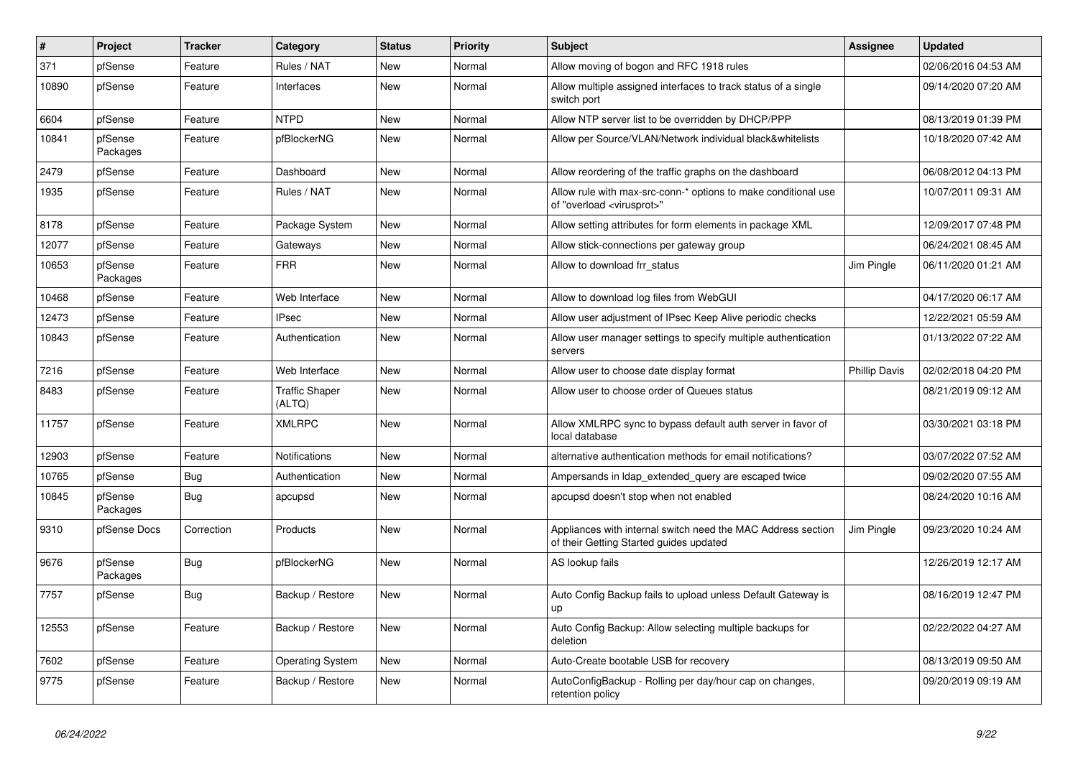| $\vert$ # | Project             | <b>Tracker</b> | Category                        | <b>Status</b> | Priority | <b>Subject</b>                                                                                          | Assignee             | <b>Updated</b>      |
|-----------|---------------------|----------------|---------------------------------|---------------|----------|---------------------------------------------------------------------------------------------------------|----------------------|---------------------|
| 371       | pfSense             | Feature        | Rules / NAT                     | New           | Normal   | Allow moving of bogon and RFC 1918 rules                                                                |                      | 02/06/2016 04:53 AM |
| 10890     | pfSense             | Feature        | Interfaces                      | New           | Normal   | Allow multiple assigned interfaces to track status of a single<br>switch port                           |                      | 09/14/2020 07:20 AM |
| 6604      | pfSense             | Feature        | <b>NTPD</b>                     | New           | Normal   | Allow NTP server list to be overridden by DHCP/PPP                                                      |                      | 08/13/2019 01:39 PM |
| 10841     | pfSense<br>Packages | Feature        | pfBlockerNG                     | New           | Normal   | Allow per Source/VLAN/Network individual black&whitelists                                               |                      | 10/18/2020 07:42 AM |
| 2479      | pfSense             | Feature        | Dashboard                       | New           | Normal   | Allow reordering of the traffic graphs on the dashboard                                                 |                      | 06/08/2012 04:13 PM |
| 1935      | pfSense             | Feature        | Rules / NAT                     | <b>New</b>    | Normal   | Allow rule with max-src-conn-* options to make conditional use<br>of "overload <virusprot>"</virusprot> |                      | 10/07/2011 09:31 AM |
| 8178      | pfSense             | Feature        | Package System                  | <b>New</b>    | Normal   | Allow setting attributes for form elements in package XML                                               |                      | 12/09/2017 07:48 PM |
| 12077     | pfSense             | Feature        | Gateways                        | New           | Normal   | Allow stick-connections per gateway group                                                               |                      | 06/24/2021 08:45 AM |
| 10653     | pfSense<br>Packages | Feature        | <b>FRR</b>                      | New           | Normal   | Allow to download frr status                                                                            | Jim Pingle           | 06/11/2020 01:21 AM |
| 10468     | pfSense             | Feature        | Web Interface                   | New           | Normal   | Allow to download log files from WebGUI                                                                 |                      | 04/17/2020 06:17 AM |
| 12473     | pfSense             | Feature        | <b>IPsec</b>                    | New           | Normal   | Allow user adjustment of IPsec Keep Alive periodic checks                                               |                      | 12/22/2021 05:59 AM |
| 10843     | pfSense             | Feature        | Authentication                  | New           | Normal   | Allow user manager settings to specify multiple authentication<br>servers                               |                      | 01/13/2022 07:22 AM |
| 7216      | pfSense             | Feature        | Web Interface                   | New           | Normal   | Allow user to choose date display format                                                                | <b>Phillip Davis</b> | 02/02/2018 04:20 PM |
| 8483      | pfSense             | Feature        | <b>Traffic Shaper</b><br>(ALTQ) | New           | Normal   | Allow user to choose order of Queues status                                                             |                      | 08/21/2019 09:12 AM |
| 11757     | pfSense             | Feature        | <b>XMLRPC</b>                   | New           | Normal   | Allow XMLRPC sync to bypass default auth server in favor of<br>local database                           |                      | 03/30/2021 03:18 PM |
| 12903     | pfSense             | Feature        | Notifications                   | New           | Normal   | alternative authentication methods for email notifications?                                             |                      | 03/07/2022 07:52 AM |
| 10765     | pfSense             | Bug            | Authentication                  | New           | Normal   | Ampersands in Idap extended query are escaped twice                                                     |                      | 09/02/2020 07:55 AM |
| 10845     | pfSense<br>Packages | <b>Bug</b>     | apcupsd                         | New           | Normal   | apcupsd doesn't stop when not enabled                                                                   |                      | 08/24/2020 10:16 AM |
| 9310      | pfSense Docs        | Correction     | Products                        | New           | Normal   | Appliances with internal switch need the MAC Address section<br>of their Getting Started guides updated | Jim Pingle           | 09/23/2020 10:24 AM |
| 9676      | pfSense<br>Packages | <b>Bug</b>     | pfBlockerNG                     | New           | Normal   | AS lookup fails                                                                                         |                      | 12/26/2019 12:17 AM |
| 7757      | pfSense             | <b>Bug</b>     | Backup / Restore                | <b>New</b>    | Normal   | Auto Config Backup fails to upload unless Default Gateway is<br>up                                      |                      | 08/16/2019 12:47 PM |
| 12553     | pfSense             | Feature        | Backup / Restore                | New           | Normal   | Auto Config Backup: Allow selecting multiple backups for<br>deletion                                    |                      | 02/22/2022 04:27 AM |
| 7602      | pfSense             | Feature        | <b>Operating System</b>         | <b>New</b>    | Normal   | Auto-Create bootable USB for recovery                                                                   |                      | 08/13/2019 09:50 AM |
| 9775      | pfSense             | Feature        | Backup / Restore                | <b>New</b>    | Normal   | AutoConfigBackup - Rolling per day/hour cap on changes,<br>retention policy                             |                      | 09/20/2019 09:19 AM |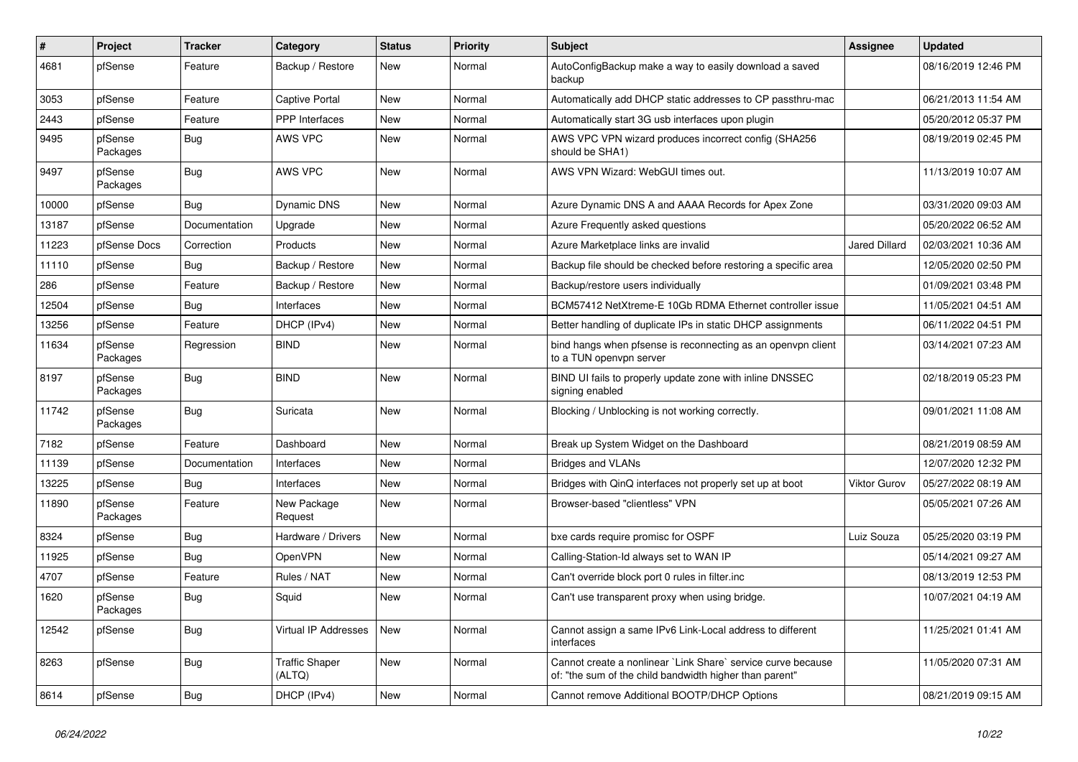| $\vert$ # | Project             | <b>Tracker</b> | Category                        | <b>Status</b> | Priority | <b>Subject</b>                                                                                                          | <b>Assignee</b>      | <b>Updated</b>      |
|-----------|---------------------|----------------|---------------------------------|---------------|----------|-------------------------------------------------------------------------------------------------------------------------|----------------------|---------------------|
| 4681      | pfSense             | Feature        | Backup / Restore                | <b>New</b>    | Normal   | AutoConfigBackup make a way to easily download a saved<br>backup                                                        |                      | 08/16/2019 12:46 PM |
| 3053      | pfSense             | Feature        | Captive Portal                  | New           | Normal   | Automatically add DHCP static addresses to CP passthru-mac                                                              |                      | 06/21/2013 11:54 AM |
| 2443      | pfSense             | Feature        | PPP Interfaces                  | New           | Normal   | Automatically start 3G usb interfaces upon plugin                                                                       |                      | 05/20/2012 05:37 PM |
| 9495      | pfSense<br>Packages | Bug            | <b>AWS VPC</b>                  | <b>New</b>    | Normal   | AWS VPC VPN wizard produces incorrect config (SHA256<br>should be SHA1)                                                 |                      | 08/19/2019 02:45 PM |
| 9497      | pfSense<br>Packages | <b>Bug</b>     | <b>AWS VPC</b>                  | <b>New</b>    | Normal   | AWS VPN Wizard: WebGUI times out.                                                                                       |                      | 11/13/2019 10:07 AM |
| 10000     | pfSense             | <b>Bug</b>     | <b>Dynamic DNS</b>              | New           | Normal   | Azure Dynamic DNS A and AAAA Records for Apex Zone                                                                      |                      | 03/31/2020 09:03 AM |
| 13187     | pfSense             | Documentation  | Upgrade                         | New           | Normal   | Azure Frequently asked questions                                                                                        |                      | 05/20/2022 06:52 AM |
| 11223     | pfSense Docs        | Correction     | Products                        | <b>New</b>    | Normal   | Azure Marketplace links are invalid                                                                                     | <b>Jared Dillard</b> | 02/03/2021 10:36 AM |
| 11110     | pfSense             | Bug            | Backup / Restore                | New           | Normal   | Backup file should be checked before restoring a specific area                                                          |                      | 12/05/2020 02:50 PM |
| 286       | pfSense             | Feature        | Backup / Restore                | New           | Normal   | Backup/restore users individually                                                                                       |                      | 01/09/2021 03:48 PM |
| 12504     | pfSense             | Bug            | Interfaces                      | New           | Normal   | BCM57412 NetXtreme-E 10Gb RDMA Ethernet controller issue                                                                |                      | 11/05/2021 04:51 AM |
| 13256     | pfSense             | Feature        | DHCP (IPv4)                     | New           | Normal   | Better handling of duplicate IPs in static DHCP assignments                                                             |                      | 06/11/2022 04:51 PM |
| 11634     | pfSense<br>Packages | Regression     | <b>BIND</b>                     | New           | Normal   | bind hangs when pfsense is reconnecting as an openypn client<br>to a TUN openvpn server                                 |                      | 03/14/2021 07:23 AM |
| 8197      | pfSense<br>Packages | <b>Bug</b>     | <b>BIND</b>                     | <b>New</b>    | Normal   | BIND UI fails to properly update zone with inline DNSSEC<br>signing enabled                                             |                      | 02/18/2019 05:23 PM |
| 11742     | pfSense<br>Packages | <b>Bug</b>     | Suricata                        | <b>New</b>    | Normal   | Blocking / Unblocking is not working correctly.                                                                         |                      | 09/01/2021 11:08 AM |
| 7182      | pfSense             | Feature        | Dashboard                       | New           | Normal   | Break up System Widget on the Dashboard                                                                                 |                      | 08/21/2019 08:59 AM |
| 11139     | pfSense             | Documentation  | Interfaces                      | New           | Normal   | <b>Bridges and VLANs</b>                                                                                                |                      | 12/07/2020 12:32 PM |
| 13225     | pfSense             | Bug            | Interfaces                      | New           | Normal   | Bridges with QinQ interfaces not properly set up at boot                                                                | Viktor Gurov         | 05/27/2022 08:19 AM |
| 11890     | pfSense<br>Packages | Feature        | New Package<br>Request          | New           | Normal   | Browser-based "clientless" VPN                                                                                          |                      | 05/05/2021 07:26 AM |
| 8324      | pfSense             | <b>Bug</b>     | Hardware / Drivers              | New           | Normal   | bxe cards require promisc for OSPF                                                                                      | Luiz Souza           | 05/25/2020 03:19 PM |
| 11925     | pfSense             | Bug            | OpenVPN                         | <b>New</b>    | Normal   | Calling-Station-Id always set to WAN IP                                                                                 |                      | 05/14/2021 09:27 AM |
| 4707      | pfSense             | Feature        | Rules / NAT                     | <b>New</b>    | Normal   | Can't override block port 0 rules in filter.inc                                                                         |                      | 08/13/2019 12:53 PM |
| 1620      | pfSense<br>Packages | <b>Bug</b>     | Squid                           | <b>New</b>    | Normal   | Can't use transparent proxy when using bridge.                                                                          |                      | 10/07/2021 04:19 AM |
| 12542     | pfSense             | <b>Bug</b>     | Virtual IP Addresses            | New           | Normal   | Cannot assign a same IPv6 Link-Local address to different<br>interfaces                                                 |                      | 11/25/2021 01:41 AM |
| 8263      | pfSense             | Bug            | <b>Traffic Shaper</b><br>(ALTQ) | <b>New</b>    | Normal   | Cannot create a nonlinear `Link Share` service curve because<br>of: "the sum of the child bandwidth higher than parent" |                      | 11/05/2020 07:31 AM |
| 8614      | pfSense             | <b>Bug</b>     | DHCP (IPv4)                     | <b>New</b>    | Normal   | Cannot remove Additional BOOTP/DHCP Options                                                                             |                      | 08/21/2019 09:15 AM |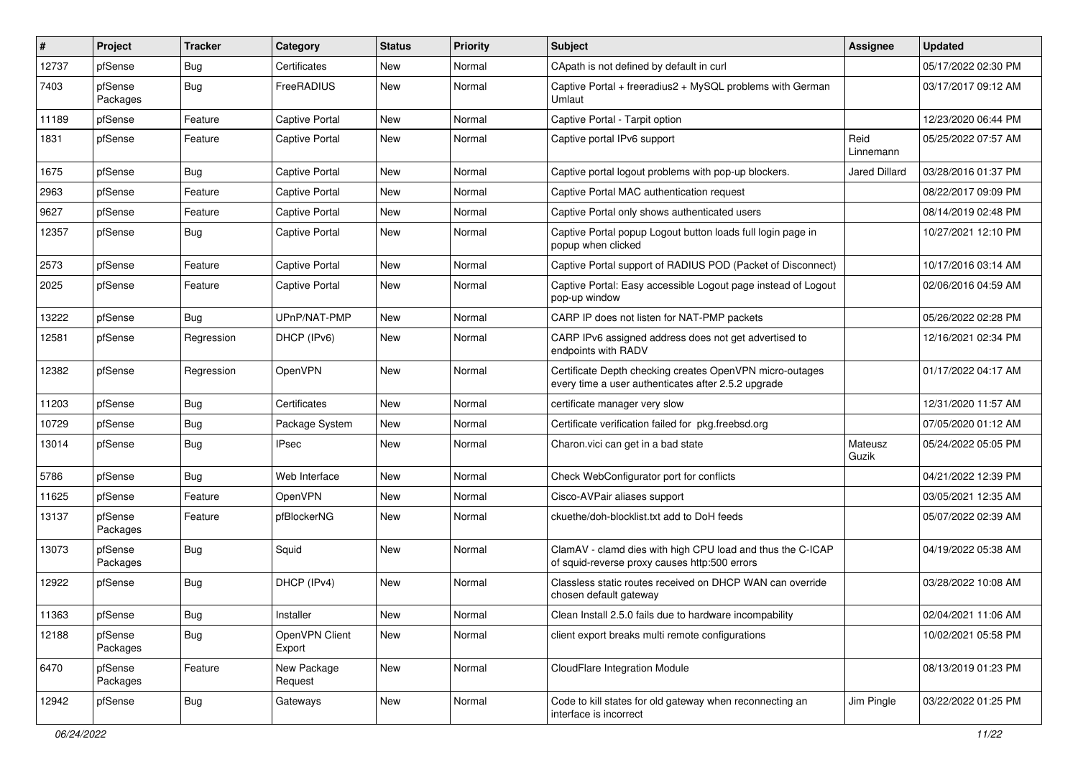| #     | Project             | <b>Tracker</b> | Category                 | <b>Status</b> | <b>Priority</b> | Subject                                                                                                         | <b>Assignee</b>      | <b>Updated</b>      |
|-------|---------------------|----------------|--------------------------|---------------|-----------------|-----------------------------------------------------------------------------------------------------------------|----------------------|---------------------|
| 12737 | pfSense             | Bug            | Certificates             | New           | Normal          | CApath is not defined by default in curl                                                                        |                      | 05/17/2022 02:30 PM |
| 7403  | pfSense<br>Packages | Bug            | FreeRADIUS               | New           | Normal          | Captive Portal + freeradius2 + MySQL problems with German<br>Umlaut                                             |                      | 03/17/2017 09:12 AM |
| 11189 | pfSense             | Feature        | <b>Captive Portal</b>    | <b>New</b>    | Normal          | Captive Portal - Tarpit option                                                                                  |                      | 12/23/2020 06:44 PM |
| 1831  | pfSense             | Feature        | <b>Captive Portal</b>    | New           | Normal          | Captive portal IPv6 support                                                                                     | Reid<br>Linnemann    | 05/25/2022 07:57 AM |
| 1675  | pfSense             | Bug            | <b>Captive Portal</b>    | New           | Normal          | Captive portal logout problems with pop-up blockers.                                                            | <b>Jared Dillard</b> | 03/28/2016 01:37 PM |
| 2963  | pfSense             | Feature        | <b>Captive Portal</b>    | New           | Normal          | Captive Portal MAC authentication request                                                                       |                      | 08/22/2017 09:09 PM |
| 9627  | pfSense             | Feature        | <b>Captive Portal</b>    | New           | Normal          | Captive Portal only shows authenticated users                                                                   |                      | 08/14/2019 02:48 PM |
| 12357 | pfSense             | Bug            | <b>Captive Portal</b>    | New           | Normal          | Captive Portal popup Logout button loads full login page in<br>popup when clicked                               |                      | 10/27/2021 12:10 PM |
| 2573  | pfSense             | Feature        | <b>Captive Portal</b>    | New           | Normal          | Captive Portal support of RADIUS POD (Packet of Disconnect)                                                     |                      | 10/17/2016 03:14 AM |
| 2025  | pfSense             | Feature        | <b>Captive Portal</b>    | New           | Normal          | Captive Portal: Easy accessible Logout page instead of Logout<br>pop-up window                                  |                      | 02/06/2016 04:59 AM |
| 13222 | pfSense             | Bug            | UPnP/NAT-PMP             | New           | Normal          | CARP IP does not listen for NAT-PMP packets                                                                     |                      | 05/26/2022 02:28 PM |
| 12581 | pfSense             | Regression     | DHCP (IPv6)              | New           | Normal          | CARP IPv6 assigned address does not get advertised to<br>endpoints with RADV                                    |                      | 12/16/2021 02:34 PM |
| 12382 | pfSense             | Regression     | OpenVPN                  | New           | Normal          | Certificate Depth checking creates OpenVPN micro-outages<br>every time a user authenticates after 2.5.2 upgrade |                      | 01/17/2022 04:17 AM |
| 11203 | pfSense             | Bug            | Certificates             | <b>New</b>    | Normal          | certificate manager very slow                                                                                   |                      | 12/31/2020 11:57 AM |
| 10729 | pfSense             | <b>Bug</b>     | Package System           | New           | Normal          | Certificate verification failed for pkg.freebsd.org                                                             |                      | 07/05/2020 01:12 AM |
| 13014 | pfSense             | Bug            | <b>IPsec</b>             | New           | Normal          | Charon.vici can get in a bad state                                                                              | Mateusz<br>Guzik     | 05/24/2022 05:05 PM |
| 5786  | pfSense             | Bug            | Web Interface            | <b>New</b>    | Normal          | Check WebConfigurator port for conflicts                                                                        |                      | 04/21/2022 12:39 PM |
| 11625 | pfSense             | Feature        | OpenVPN                  | New           | Normal          | Cisco-AVPair aliases support                                                                                    |                      | 03/05/2021 12:35 AM |
| 13137 | pfSense<br>Packages | Feature        | pfBlockerNG              | New           | Normal          | ckuethe/doh-blocklist.txt add to DoH feeds                                                                      |                      | 05/07/2022 02:39 AM |
| 13073 | pfSense<br>Packages | Bug            | Squid                    | <b>New</b>    | Normal          | ClamAV - clamd dies with high CPU load and thus the C-ICAP<br>of squid-reverse proxy causes http:500 errors     |                      | 04/19/2022 05:38 AM |
| 12922 | pfSense             | Bug            | DHCP (IPv4)              | New           | Normal          | Classless static routes received on DHCP WAN can override<br>chosen default gateway                             |                      | 03/28/2022 10:08 AM |
| 11363 | pfSense             | Bug            | Installer                | New           | Normal          | Clean Install 2.5.0 fails due to hardware incompability                                                         |                      | 02/04/2021 11:06 AM |
| 12188 | pfSense<br>Packages | <b>Bug</b>     | OpenVPN Client<br>Export | New           | Normal          | client export breaks multi remote configurations                                                                |                      | 10/02/2021 05:58 PM |
| 6470  | pfSense<br>Packages | Feature        | New Package<br>Request   | New           | Normal          | CloudFlare Integration Module                                                                                   |                      | 08/13/2019 01:23 PM |
| 12942 | pfSense             | <b>Bug</b>     | Gateways                 | New           | Normal          | Code to kill states for old gateway when reconnecting an<br>interface is incorrect                              | Jim Pingle           | 03/22/2022 01:25 PM |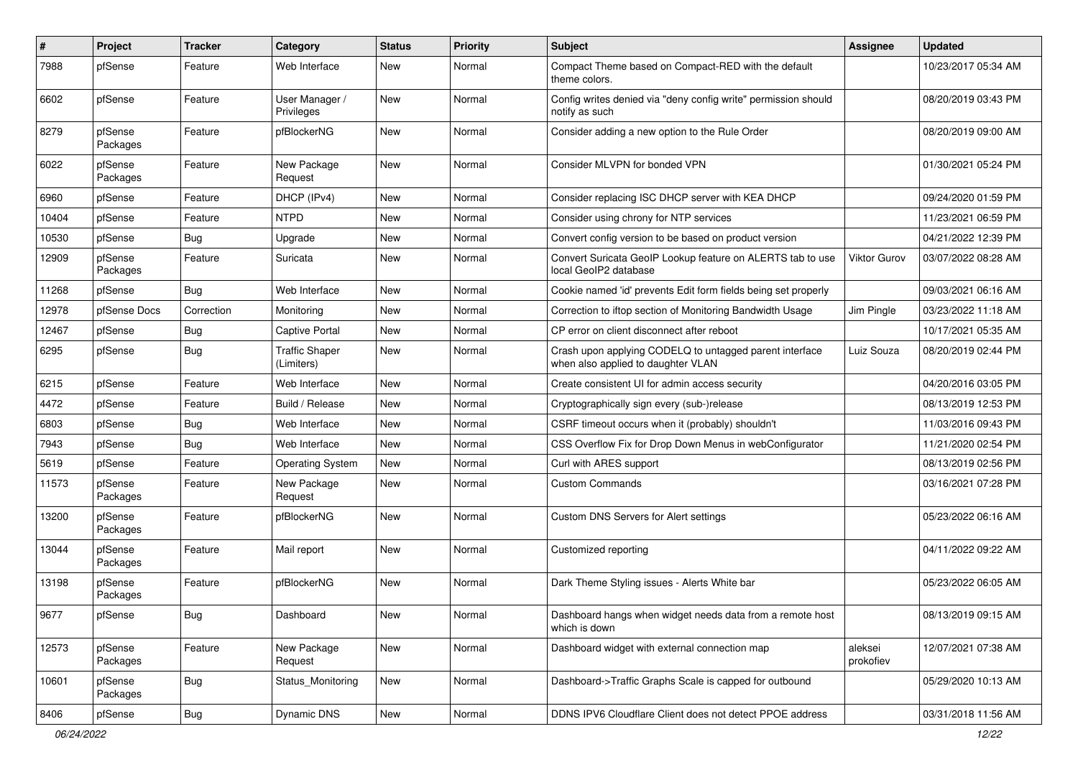| #     | Project             | <b>Tracker</b> | Category                            | <b>Status</b> | <b>Priority</b> | <b>Subject</b>                                                                                | <b>Assignee</b>      | <b>Updated</b>      |
|-------|---------------------|----------------|-------------------------------------|---------------|-----------------|-----------------------------------------------------------------------------------------------|----------------------|---------------------|
| 7988  | pfSense             | Feature        | Web Interface                       | New           | Normal          | Compact Theme based on Compact-RED with the default<br>theme colors.                          |                      | 10/23/2017 05:34 AM |
| 6602  | pfSense             | Feature        | User Manager /<br>Privileges        | New           | Normal          | Config writes denied via "deny config write" permission should<br>notify as such              |                      | 08/20/2019 03:43 PM |
| 8279  | pfSense<br>Packages | Feature        | pfBlockerNG                         | New           | Normal          | Consider adding a new option to the Rule Order                                                |                      | 08/20/2019 09:00 AM |
| 6022  | pfSense<br>Packages | Feature        | New Package<br>Request              | New           | Normal          | Consider MLVPN for bonded VPN                                                                 |                      | 01/30/2021 05:24 PM |
| 6960  | pfSense             | Feature        | DHCP (IPv4)                         | <b>New</b>    | Normal          | Consider replacing ISC DHCP server with KEA DHCP                                              |                      | 09/24/2020 01:59 PM |
| 10404 | pfSense             | Feature        | <b>NTPD</b>                         | New           | Normal          | Consider using chrony for NTP services                                                        |                      | 11/23/2021 06:59 PM |
| 10530 | pfSense             | <b>Bug</b>     | Upgrade                             | New           | Normal          | Convert config version to be based on product version                                         |                      | 04/21/2022 12:39 PM |
| 12909 | pfSense<br>Packages | Feature        | Suricata                            | New           | Normal          | Convert Suricata GeoIP Lookup feature on ALERTS tab to use<br>local GeoIP2 database           | <b>Viktor Gurov</b>  | 03/07/2022 08:28 AM |
| 11268 | pfSense             | Bug            | Web Interface                       | New           | Normal          | Cookie named 'id' prevents Edit form fields being set properly                                |                      | 09/03/2021 06:16 AM |
| 12978 | pfSense Docs        | Correction     | Monitoring                          | New           | Normal          | Correction to iftop section of Monitoring Bandwidth Usage                                     | Jim Pingle           | 03/23/2022 11:18 AM |
| 12467 | pfSense             | <b>Bug</b>     | Captive Portal                      | New           | Normal          | CP error on client disconnect after reboot                                                    |                      | 10/17/2021 05:35 AM |
| 6295  | pfSense             | Bug            | <b>Traffic Shaper</b><br>(Limiters) | New           | Normal          | Crash upon applying CODELQ to untagged parent interface<br>when also applied to daughter VLAN | Luiz Souza           | 08/20/2019 02:44 PM |
| 6215  | pfSense             | Feature        | Web Interface                       | New           | Normal          | Create consistent UI for admin access security                                                |                      | 04/20/2016 03:05 PM |
| 4472  | pfSense             | Feature        | Build / Release                     | New           | Normal          | Cryptographically sign every (sub-)release                                                    |                      | 08/13/2019 12:53 PM |
| 6803  | pfSense             | Bug            | Web Interface                       | New           | Normal          | CSRF timeout occurs when it (probably) shouldn't                                              |                      | 11/03/2016 09:43 PM |
| 7943  | pfSense             | <b>Bug</b>     | Web Interface                       | New           | Normal          | CSS Overflow Fix for Drop Down Menus in webConfigurator                                       |                      | 11/21/2020 02:54 PM |
| 5619  | pfSense             | Feature        | <b>Operating System</b>             | <b>New</b>    | Normal          | Curl with ARES support                                                                        |                      | 08/13/2019 02:56 PM |
| 11573 | pfSense<br>Packages | Feature        | New Package<br>Request              | New           | Normal          | <b>Custom Commands</b>                                                                        |                      | 03/16/2021 07:28 PM |
| 13200 | pfSense<br>Packages | Feature        | pfBlockerNG                         | <b>New</b>    | Normal          | Custom DNS Servers for Alert settings                                                         |                      | 05/23/2022 06:16 AM |
| 13044 | pfSense<br>Packages | Feature        | Mail report                         | New           | Normal          | Customized reporting                                                                          |                      | 04/11/2022 09:22 AM |
| 13198 | pfSense<br>Packages | Feature        | pfBlockerNG                         | New           | Normal          | Dark Theme Styling issues - Alerts White bar                                                  |                      | 05/23/2022 06:05 AM |
| 9677  | pfSense             | <b>Bug</b>     | Dashboard                           | New           | Normal          | Dashboard hangs when widget needs data from a remote host<br>which is down                    |                      | 08/13/2019 09:15 AM |
| 12573 | pfSense<br>Packages | Feature        | New Package<br>Request              | New           | Normal          | Dashboard widget with external connection map                                                 | aleksei<br>prokofiev | 12/07/2021 07:38 AM |
| 10601 | pfSense<br>Packages | <b>Bug</b>     | Status_Monitoring                   | New           | Normal          | Dashboard->Traffic Graphs Scale is capped for outbound                                        |                      | 05/29/2020 10:13 AM |
| 8406  | pfSense             | Bug            | Dynamic DNS                         | New           | Normal          | DDNS IPV6 Cloudflare Client does not detect PPOE address                                      |                      | 03/31/2018 11:56 AM |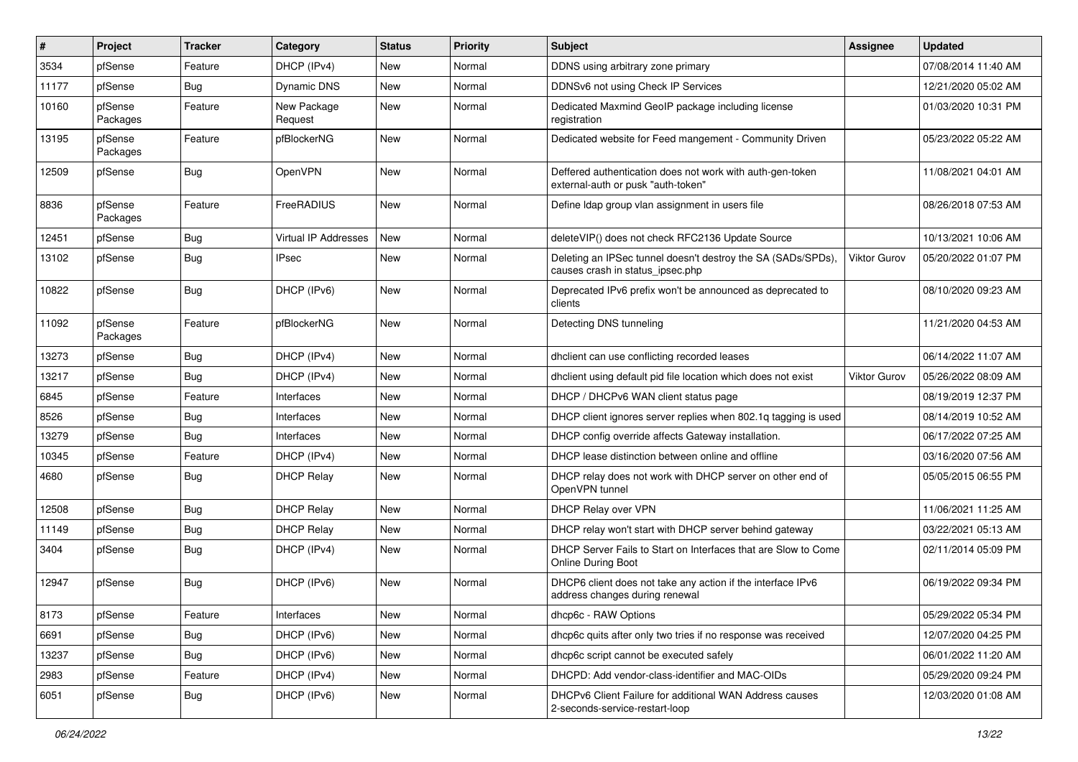| $\vert$ # | Project             | <b>Tracker</b> | Category               | <b>Status</b> | Priority | <b>Subject</b>                                                                                   | Assignee            | <b>Updated</b>      |
|-----------|---------------------|----------------|------------------------|---------------|----------|--------------------------------------------------------------------------------------------------|---------------------|---------------------|
| 3534      | pfSense             | Feature        | DHCP (IPv4)            | New           | Normal   | DDNS using arbitrary zone primary                                                                |                     | 07/08/2014 11:40 AM |
| 11177     | pfSense             | Bug            | <b>Dynamic DNS</b>     | New           | Normal   | DDNSv6 not using Check IP Services                                                               |                     | 12/21/2020 05:02 AM |
| 10160     | pfSense<br>Packages | Feature        | New Package<br>Request | New           | Normal   | Dedicated Maxmind GeoIP package including license<br>registration                                |                     | 01/03/2020 10:31 PM |
| 13195     | pfSense<br>Packages | Feature        | pfBlockerNG            | New           | Normal   | Dedicated website for Feed mangement - Community Driven                                          |                     | 05/23/2022 05:22 AM |
| 12509     | pfSense             | Bug            | OpenVPN                | New           | Normal   | Deffered authentication does not work with auth-gen-token<br>external-auth or pusk "auth-token"  |                     | 11/08/2021 04:01 AM |
| 8836      | pfSense<br>Packages | Feature        | FreeRADIUS             | <b>New</b>    | Normal   | Define Idap group vlan assignment in users file                                                  |                     | 08/26/2018 07:53 AM |
| 12451     | pfSense             | Bug            | Virtual IP Addresses   | New           | Normal   | deleteVIP() does not check RFC2136 Update Source                                                 |                     | 10/13/2021 10:06 AM |
| 13102     | pfSense             | Bug            | <b>IPsec</b>           | New           | Normal   | Deleting an IPSec tunnel doesn't destroy the SA (SADs/SPDs),<br>causes crash in status_ipsec.php | <b>Viktor Gurov</b> | 05/20/2022 01:07 PM |
| 10822     | pfSense             | Bug            | DHCP (IPv6)            | New           | Normal   | Deprecated IPv6 prefix won't be announced as deprecated to<br>clients                            |                     | 08/10/2020 09:23 AM |
| 11092     | pfSense<br>Packages | Feature        | pfBlockerNG            | New           | Normal   | Detecting DNS tunneling                                                                          |                     | 11/21/2020 04:53 AM |
| 13273     | pfSense             | Bug            | DHCP (IPv4)            | New           | Normal   | dhclient can use conflicting recorded leases                                                     |                     | 06/14/2022 11:07 AM |
| 13217     | pfSense             | Bug            | DHCP (IPv4)            | New           | Normal   | dhclient using default pid file location which does not exist                                    | <b>Viktor Gurov</b> | 05/26/2022 08:09 AM |
| 6845      | pfSense             | Feature        | Interfaces             | New           | Normal   | DHCP / DHCPv6 WAN client status page                                                             |                     | 08/19/2019 12:37 PM |
| 8526      | pfSense             | Bug            | Interfaces             | New           | Normal   | DHCP client ignores server replies when 802.1q tagging is used                                   |                     | 08/14/2019 10:52 AM |
| 13279     | pfSense             | Bug            | Interfaces             | New           | Normal   | DHCP config override affects Gateway installation.                                               |                     | 06/17/2022 07:25 AM |
| 10345     | pfSense             | Feature        | DHCP (IPv4)            | New           | Normal   | DHCP lease distinction between online and offline                                                |                     | 03/16/2020 07:56 AM |
| 4680      | pfSense             | Bug            | <b>DHCP Relay</b>      | New           | Normal   | DHCP relay does not work with DHCP server on other end of<br>OpenVPN tunnel                      |                     | 05/05/2015 06:55 PM |
| 12508     | pfSense             | Bug            | <b>DHCP Relay</b>      | New           | Normal   | DHCP Relay over VPN                                                                              |                     | 11/06/2021 11:25 AM |
| 11149     | pfSense             | Bug            | <b>DHCP Relay</b>      | New           | Normal   | DHCP relay won't start with DHCP server behind gateway                                           |                     | 03/22/2021 05:13 AM |
| 3404      | pfSense             | Bug            | DHCP (IPv4)            | New           | Normal   | DHCP Server Fails to Start on Interfaces that are Slow to Come<br>Online During Boot             |                     | 02/11/2014 05:09 PM |
| 12947     | pfSense             | Bug            | DHCP (IPv6)            | New           | Normal   | DHCP6 client does not take any action if the interface IPv6<br>address changes during renewal    |                     | 06/19/2022 09:34 PM |
| 8173      | pfSense             | Feature        | Interfaces             | <b>New</b>    | Normal   | dhcp6c - RAW Options                                                                             |                     | 05/29/2022 05:34 PM |
| 6691      | pfSense             | Bug            | DHCP (IPv6)            | New           | Normal   | dhcp6c quits after only two tries if no response was received                                    |                     | 12/07/2020 04:25 PM |
| 13237     | pfSense             | Bug            | DHCP (IPv6)            | New           | Normal   | dhcp6c script cannot be executed safely                                                          |                     | 06/01/2022 11:20 AM |
| 2983      | pfSense             | Feature        | DHCP (IPv4)            | New           | Normal   | DHCPD: Add vendor-class-identifier and MAC-OIDs                                                  |                     | 05/29/2020 09:24 PM |
| 6051      | pfSense             | <b>Bug</b>     | DHCP (IPv6)            | New           | Normal   | DHCPv6 Client Failure for additional WAN Address causes<br>2-seconds-service-restart-loop        |                     | 12/03/2020 01:08 AM |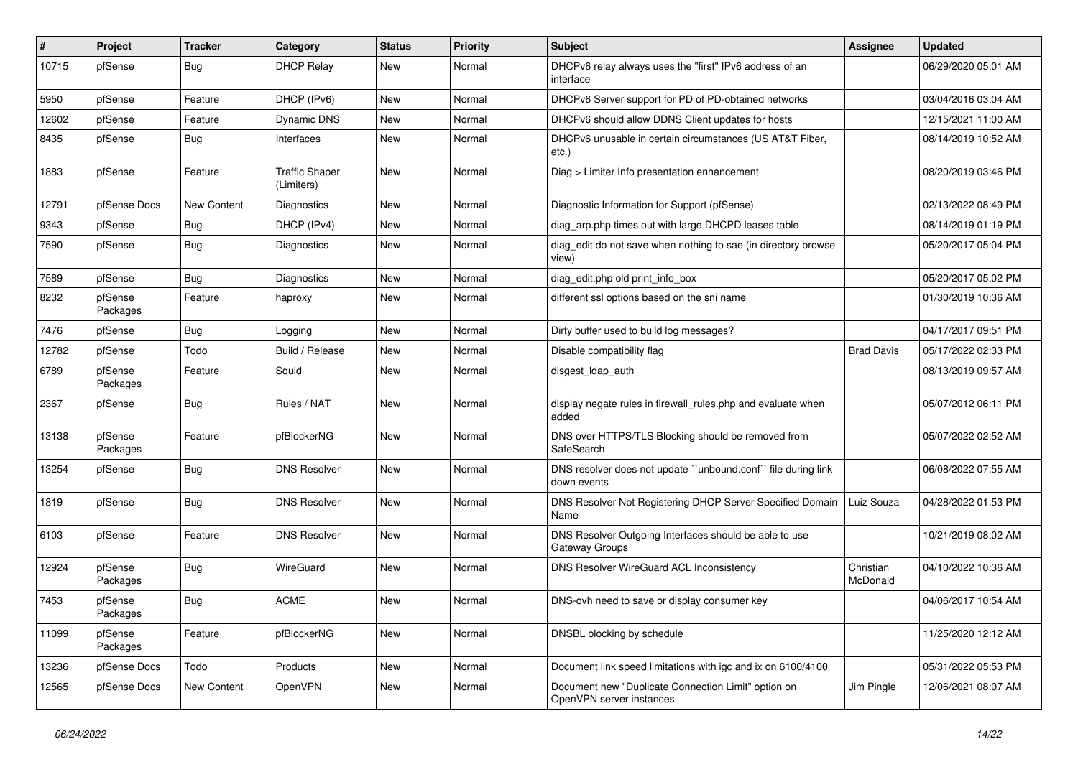| ∦     | Project             | <b>Tracker</b> | Category                            | <b>Status</b> | <b>Priority</b> | Subject                                                                         | <b>Assignee</b>       | <b>Updated</b>      |
|-------|---------------------|----------------|-------------------------------------|---------------|-----------------|---------------------------------------------------------------------------------|-----------------------|---------------------|
| 10715 | pfSense             | Bug            | <b>DHCP Relay</b>                   | New           | Normal          | DHCPv6 relay always uses the "first" IPv6 address of an<br>interface            |                       | 06/29/2020 05:01 AM |
| 5950  | pfSense             | Feature        | DHCP (IPv6)                         | New           | Normal          | DHCPv6 Server support for PD of PD-obtained networks                            |                       | 03/04/2016 03:04 AM |
| 12602 | pfSense             | Feature        | Dynamic DNS                         | New           | Normal          | DHCPv6 should allow DDNS Client updates for hosts                               |                       | 12/15/2021 11:00 AM |
| 8435  | pfSense             | Bug            | Interfaces                          | <b>New</b>    | Normal          | DHCPv6 unusable in certain circumstances (US AT&T Fiber,<br>etc.)               |                       | 08/14/2019 10:52 AM |
| 1883  | pfSense             | Feature        | <b>Traffic Shaper</b><br>(Limiters) | New           | Normal          | Diag > Limiter Info presentation enhancement                                    |                       | 08/20/2019 03:46 PM |
| 12791 | pfSense Docs        | New Content    | <b>Diagnostics</b>                  | <b>New</b>    | Normal          | Diagnostic Information for Support (pfSense)                                    |                       | 02/13/2022 08:49 PM |
| 9343  | pfSense             | <b>Bug</b>     | DHCP (IPv4)                         | New           | Normal          | diag_arp.php times out with large DHCPD leases table                            |                       | 08/14/2019 01:19 PM |
| 7590  | pfSense             | <b>Bug</b>     | Diagnostics                         | New           | Normal          | diag_edit do not save when nothing to sae (in directory browse<br>view)         |                       | 05/20/2017 05:04 PM |
| 7589  | pfSense             | Bug            | <b>Diagnostics</b>                  | <b>New</b>    | Normal          | diag_edit.php old print_info_box                                                |                       | 05/20/2017 05:02 PM |
| 8232  | pfSense<br>Packages | Feature        | haproxy                             | New           | Normal          | different ssl options based on the sni name                                     |                       | 01/30/2019 10:36 AM |
| 7476  | pfSense             | <b>Bug</b>     | Logging                             | <b>New</b>    | Normal          | Dirty buffer used to build log messages?                                        |                       | 04/17/2017 09:51 PM |
| 12782 | pfSense             | Todo           | Build / Release                     | <b>New</b>    | Normal          | Disable compatibility flag                                                      | <b>Brad Davis</b>     | 05/17/2022 02:33 PM |
| 6789  | pfSense<br>Packages | Feature        | Squid                               | New           | Normal          | disgest_ldap_auth                                                               |                       | 08/13/2019 09:57 AM |
| 2367  | pfSense             | Bug            | Rules / NAT                         | New           | Normal          | display negate rules in firewall_rules.php and evaluate when<br>added           |                       | 05/07/2012 06:11 PM |
| 13138 | pfSense<br>Packages | Feature        | pfBlockerNG                         | New           | Normal          | DNS over HTTPS/TLS Blocking should be removed from<br>SafeSearch                |                       | 05/07/2022 02:52 AM |
| 13254 | pfSense             | <b>Bug</b>     | <b>DNS Resolver</b>                 | <b>New</b>    | Normal          | DNS resolver does not update "unbound.conf" file during link<br>down events     |                       | 06/08/2022 07:55 AM |
| 1819  | pfSense             | Bug            | <b>DNS Resolver</b>                 | <b>New</b>    | Normal          | DNS Resolver Not Registering DHCP Server Specified Domain<br>Name               | Luiz Souza            | 04/28/2022 01:53 PM |
| 6103  | pfSense             | Feature        | <b>DNS Resolver</b>                 | <b>New</b>    | Normal          | DNS Resolver Outgoing Interfaces should be able to use<br>Gateway Groups        |                       | 10/21/2019 08:02 AM |
| 12924 | pfSense<br>Packages | Bug            | WireGuard                           | New           | Normal          | DNS Resolver WireGuard ACL Inconsistency                                        | Christian<br>McDonald | 04/10/2022 10:36 AM |
| 7453  | pfSense<br>Packages | <b>Bug</b>     | <b>ACME</b>                         | <b>New</b>    | Normal          | DNS-ovh need to save or display consumer key                                    |                       | 04/06/2017 10:54 AM |
| 11099 | pfSense<br>Packages | Feature        | pfBlockerNG                         | <b>New</b>    | Normal          | DNSBL blocking by schedule                                                      |                       | 11/25/2020 12:12 AM |
| 13236 | pfSense Docs        | Todo           | Products                            | New           | Normal          | Document link speed limitations with igc and ix on 6100/4100                    |                       | 05/31/2022 05:53 PM |
| 12565 | pfSense Docs        | New Content    | OpenVPN                             | New           | Normal          | Document new "Duplicate Connection Limit" option on<br>OpenVPN server instances | Jim Pingle            | 12/06/2021 08:07 AM |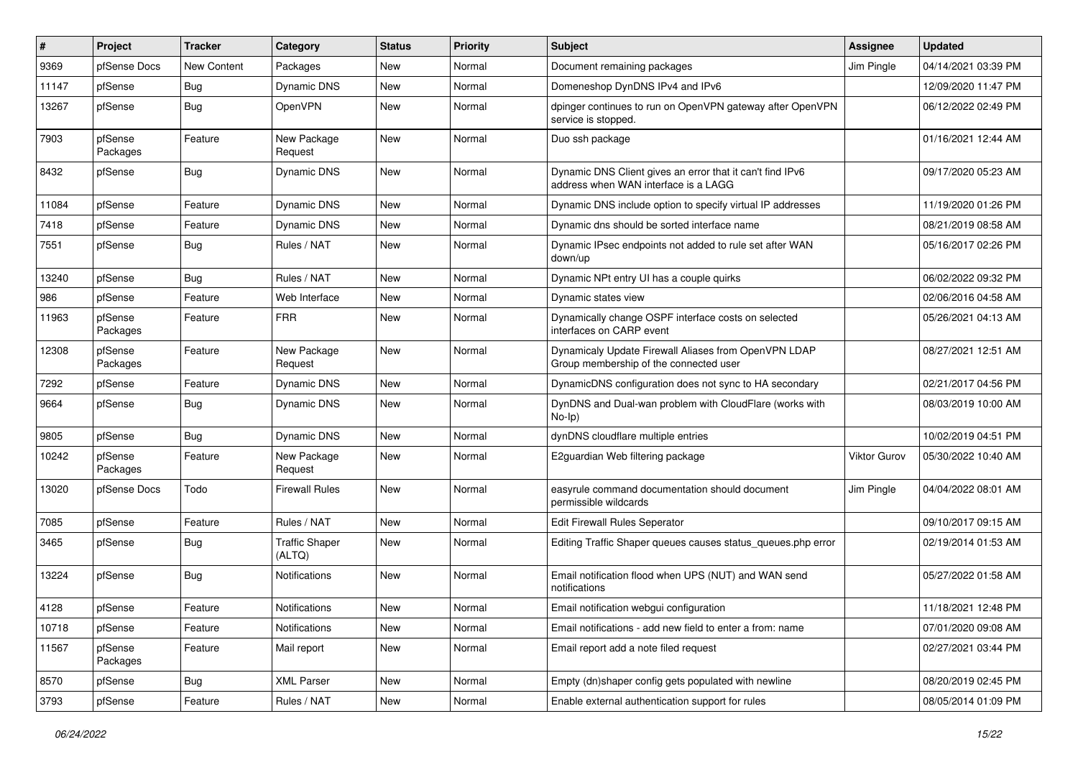| #     | Project             | <b>Tracker</b> | Category                        | <b>Status</b> | Priority | <b>Subject</b>                                                                                    | <b>Assignee</b>     | <b>Updated</b>      |
|-------|---------------------|----------------|---------------------------------|---------------|----------|---------------------------------------------------------------------------------------------------|---------------------|---------------------|
| 9369  | pfSense Docs        | New Content    | Packages                        | New           | Normal   | Document remaining packages                                                                       | Jim Pingle          | 04/14/2021 03:39 PM |
| 11147 | pfSense             | Bug            | Dynamic DNS                     | <b>New</b>    | Normal   | Domeneshop DynDNS IPv4 and IPv6                                                                   |                     | 12/09/2020 11:47 PM |
| 13267 | pfSense             | Bug            | <b>OpenVPN</b>                  | New           | Normal   | dpinger continues to run on OpenVPN gateway after OpenVPN<br>service is stopped.                  |                     | 06/12/2022 02:49 PM |
| 7903  | pfSense<br>Packages | Feature        | New Package<br>Request          | <b>New</b>    | Normal   | Duo ssh package                                                                                   |                     | 01/16/2021 12:44 AM |
| 8432  | pfSense             | Bug            | Dynamic DNS                     | New           | Normal   | Dynamic DNS Client gives an error that it can't find IPv6<br>address when WAN interface is a LAGG |                     | 09/17/2020 05:23 AM |
| 11084 | pfSense             | Feature        | Dynamic DNS                     | New           | Normal   | Dynamic DNS include option to specify virtual IP addresses                                        |                     | 11/19/2020 01:26 PM |
| 7418  | pfSense             | Feature        | Dynamic DNS                     | New           | Normal   | Dynamic dns should be sorted interface name                                                       |                     | 08/21/2019 08:58 AM |
| 7551  | pfSense             | Bug            | Rules / NAT                     | New           | Normal   | Dynamic IPsec endpoints not added to rule set after WAN<br>down/up                                |                     | 05/16/2017 02:26 PM |
| 13240 | pfSense             | Bug            | Rules / NAT                     | <b>New</b>    | Normal   | Dynamic NPt entry UI has a couple quirks                                                          |                     | 06/02/2022 09:32 PM |
| 986   | pfSense             | Feature        | Web Interface                   | New           | Normal   | Dynamic states view                                                                               |                     | 02/06/2016 04:58 AM |
| 11963 | pfSense<br>Packages | Feature        | <b>FRR</b>                      | New           | Normal   | Dynamically change OSPF interface costs on selected<br>interfaces on CARP event                   |                     | 05/26/2021 04:13 AM |
| 12308 | pfSense<br>Packages | Feature        | New Package<br>Request          | New           | Normal   | Dynamicaly Update Firewall Aliases from OpenVPN LDAP<br>Group membership of the connected user    |                     | 08/27/2021 12:51 AM |
| 7292  | pfSense             | Feature        | Dynamic DNS                     | New           | Normal   | DynamicDNS configuration does not sync to HA secondary                                            |                     | 02/21/2017 04:56 PM |
| 9664  | pfSense             | Bug            | Dynamic DNS                     | New           | Normal   | DynDNS and Dual-wan problem with CloudFlare (works with<br>$No-Ip)$                               |                     | 08/03/2019 10:00 AM |
| 9805  | pfSense             | Bug            | Dynamic DNS                     | New           | Normal   | dynDNS cloudflare multiple entries                                                                |                     | 10/02/2019 04:51 PM |
| 10242 | pfSense<br>Packages | Feature        | New Package<br>Request          | New           | Normal   | E2guardian Web filtering package                                                                  | <b>Viktor Gurov</b> | 05/30/2022 10:40 AM |
| 13020 | pfSense Docs        | Todo           | <b>Firewall Rules</b>           | New           | Normal   | easyrule command documentation should document<br>permissible wildcards                           | Jim Pingle          | 04/04/2022 08:01 AM |
| 7085  | pfSense             | Feature        | Rules / NAT                     | <b>New</b>    | Normal   | Edit Firewall Rules Seperator                                                                     |                     | 09/10/2017 09:15 AM |
| 3465  | pfSense             | <b>Bug</b>     | <b>Traffic Shaper</b><br>(ALTQ) | New           | Normal   | Editing Traffic Shaper queues causes status_queues.php error                                      |                     | 02/19/2014 01:53 AM |
| 13224 | pfSense             | Bug            | <b>Notifications</b>            | New           | Normal   | Email notification flood when UPS (NUT) and WAN send<br>notifications                             |                     | 05/27/2022 01:58 AM |
| 4128  | pfSense             | Feature        | Notifications                   | New           | Normal   | Email notification webgui configuration                                                           |                     | 11/18/2021 12:48 PM |
| 10718 | pfSense             | Feature        | Notifications                   | New           | Normal   | Email notifications - add new field to enter a from: name                                         |                     | 07/01/2020 09:08 AM |
| 11567 | pfSense<br>Packages | Feature        | Mail report                     | New           | Normal   | Email report add a note filed request                                                             |                     | 02/27/2021 03:44 PM |
| 8570  | pfSense             | Bug            | <b>XML Parser</b>               | New           | Normal   | Empty (dn)shaper config gets populated with newline                                               |                     | 08/20/2019 02:45 PM |
| 3793  | pfSense             | Feature        | Rules / NAT                     | New           | Normal   | Enable external authentication support for rules                                                  |                     | 08/05/2014 01:09 PM |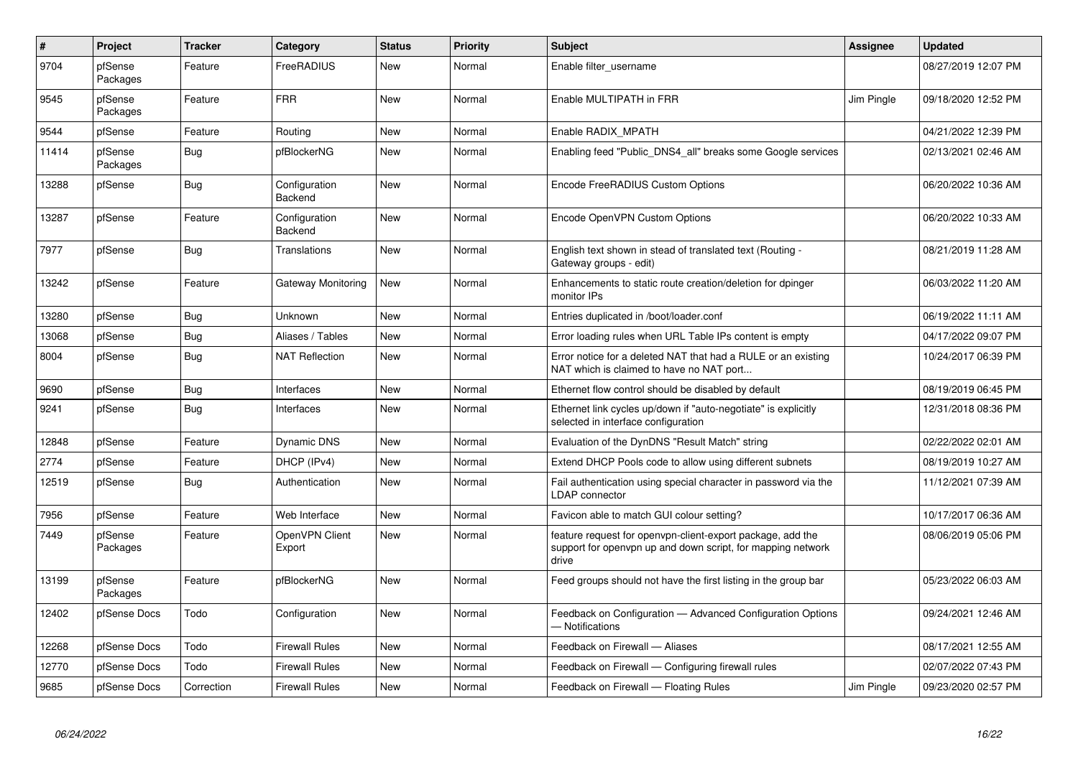| $\vert$ # | Project             | <b>Tracker</b> | Category                 | <b>Status</b> | <b>Priority</b> | <b>Subject</b>                                                                                                                     | Assignee   | <b>Updated</b>      |
|-----------|---------------------|----------------|--------------------------|---------------|-----------------|------------------------------------------------------------------------------------------------------------------------------------|------------|---------------------|
| 9704      | pfSense<br>Packages | Feature        | FreeRADIUS               | New           | Normal          | Enable filter_username                                                                                                             |            | 08/27/2019 12:07 PM |
| 9545      | pfSense<br>Packages | Feature        | <b>FRR</b>               | New           | Normal          | Enable MULTIPATH in FRR                                                                                                            | Jim Pingle | 09/18/2020 12:52 PM |
| 9544      | pfSense             | Feature        | Routing                  | New           | Normal          | Enable RADIX MPATH                                                                                                                 |            | 04/21/2022 12:39 PM |
| 11414     | pfSense<br>Packages | Bug            | pfBlockerNG              | New           | Normal          | Enabling feed "Public DNS4 all" breaks some Google services                                                                        |            | 02/13/2021 02:46 AM |
| 13288     | pfSense             | Bug            | Configuration<br>Backend | New           | Normal          | Encode FreeRADIUS Custom Options                                                                                                   |            | 06/20/2022 10:36 AM |
| 13287     | pfSense             | Feature        | Configuration<br>Backend | <b>New</b>    | Normal          | Encode OpenVPN Custom Options                                                                                                      |            | 06/20/2022 10:33 AM |
| 7977      | pfSense             | Bug            | Translations             | <b>New</b>    | Normal          | English text shown in stead of translated text (Routing -<br>Gateway groups - edit)                                                |            | 08/21/2019 11:28 AM |
| 13242     | pfSense             | Feature        | Gateway Monitoring       | <b>New</b>    | Normal          | Enhancements to static route creation/deletion for dpinger<br>monitor IPs                                                          |            | 06/03/2022 11:20 AM |
| 13280     | pfSense             | <b>Bug</b>     | Unknown                  | <b>New</b>    | Normal          | Entries duplicated in /boot/loader.conf                                                                                            |            | 06/19/2022 11:11 AM |
| 13068     | pfSense             | Bug            | Aliases / Tables         | New           | Normal          | Error loading rules when URL Table IPs content is empty                                                                            |            | 04/17/2022 09:07 PM |
| 8004      | pfSense             | Bug            | <b>NAT Reflection</b>    | <b>New</b>    | Normal          | Error notice for a deleted NAT that had a RULE or an existing<br>NAT which is claimed to have no NAT port                          |            | 10/24/2017 06:39 PM |
| 9690      | pfSense             | Bug            | Interfaces               | <b>New</b>    | Normal          | Ethernet flow control should be disabled by default                                                                                |            | 08/19/2019 06:45 PM |
| 9241      | pfSense             | <b>Bug</b>     | Interfaces               | New           | Normal          | Ethernet link cycles up/down if "auto-negotiate" is explicitly<br>selected in interface configuration                              |            | 12/31/2018 08:36 PM |
| 12848     | pfSense             | Feature        | <b>Dynamic DNS</b>       | <b>New</b>    | Normal          | Evaluation of the DynDNS "Result Match" string                                                                                     |            | 02/22/2022 02:01 AM |
| 2774      | pfSense             | Feature        | DHCP (IPv4)              | New           | Normal          | Extend DHCP Pools code to allow using different subnets                                                                            |            | 08/19/2019 10:27 AM |
| 12519     | pfSense             | Bug            | Authentication           | <b>New</b>    | Normal          | Fail authentication using special character in password via the<br>LDAP connector                                                  |            | 11/12/2021 07:39 AM |
| 7956      | pfSense             | Feature        | Web Interface            | <b>New</b>    | Normal          | Favicon able to match GUI colour setting?                                                                                          |            | 10/17/2017 06:36 AM |
| 7449      | pfSense<br>Packages | Feature        | OpenVPN Client<br>Export | New           | Normal          | feature request for openvpn-client-export package, add the<br>support for openvpn up and down script, for mapping network<br>drive |            | 08/06/2019 05:06 PM |
| 13199     | pfSense<br>Packages | Feature        | pfBlockerNG              | New           | Normal          | Feed groups should not have the first listing in the group bar                                                                     |            | 05/23/2022 06:03 AM |
| 12402     | pfSense Docs        | Todo           | Configuration            | New           | Normal          | Feedback on Configuration - Advanced Configuration Options<br>- Notifications                                                      |            | 09/24/2021 12:46 AM |
| 12268     | pfSense Docs        | Todo           | <b>Firewall Rules</b>    | New           | Normal          | Feedback on Firewall — Aliases                                                                                                     |            | 08/17/2021 12:55 AM |
| 12770     | pfSense Docs        | Todo           | <b>Firewall Rules</b>    | New           | Normal          | Feedback on Firewall - Configuring firewall rules                                                                                  |            | 02/07/2022 07:43 PM |
| 9685      | pfSense Docs        | Correction     | <b>Firewall Rules</b>    | New           | Normal          | Feedback on Firewall - Floating Rules                                                                                              | Jim Pingle | 09/23/2020 02:57 PM |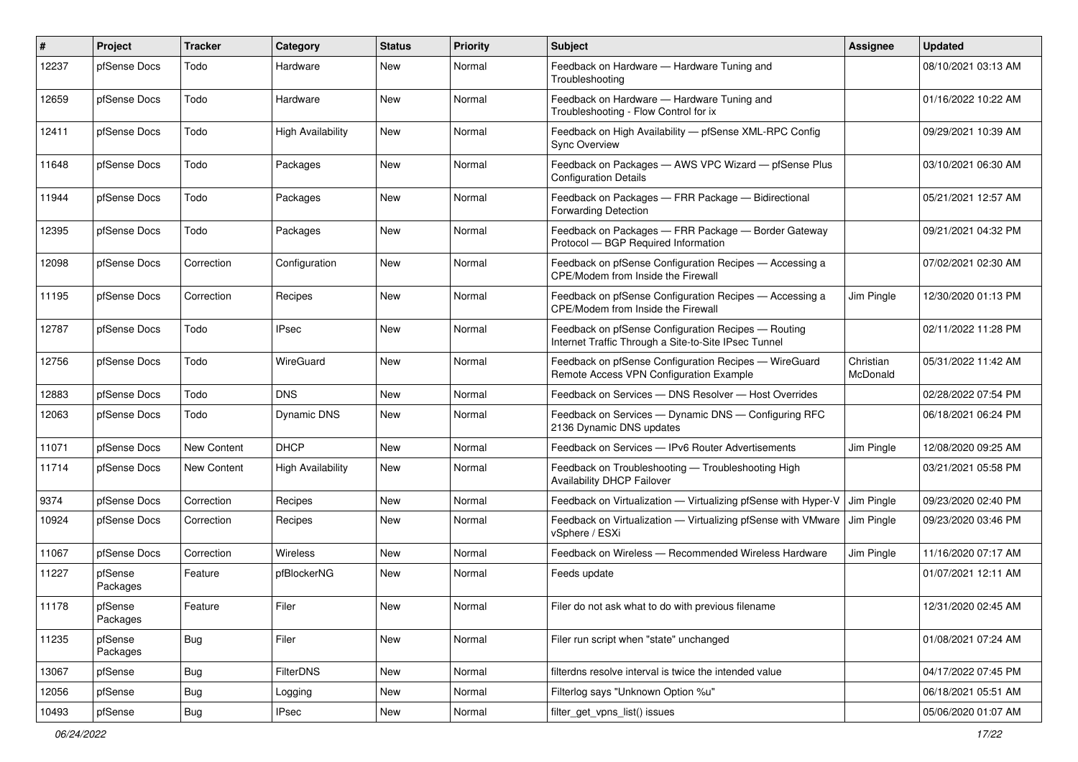| #     | Project             | <b>Tracker</b> | Category                 | <b>Status</b> | <b>Priority</b> | Subject                                                                                                     | <b>Assignee</b>       | <b>Updated</b>      |
|-------|---------------------|----------------|--------------------------|---------------|-----------------|-------------------------------------------------------------------------------------------------------------|-----------------------|---------------------|
| 12237 | pfSense Docs        | Todo           | Hardware                 | <b>New</b>    | Normal          | Feedback on Hardware - Hardware Tuning and<br>Troubleshooting                                               |                       | 08/10/2021 03:13 AM |
| 12659 | pfSense Docs        | Todo           | Hardware                 | New           | Normal          | Feedback on Hardware - Hardware Tuning and<br>Troubleshooting - Flow Control for ix                         |                       | 01/16/2022 10:22 AM |
| 12411 | pfSense Docs        | Todo           | <b>High Availability</b> | New           | Normal          | Feedback on High Availability - pfSense XML-RPC Config<br><b>Sync Overview</b>                              |                       | 09/29/2021 10:39 AM |
| 11648 | pfSense Docs        | Todo           | Packages                 | New           | Normal          | Feedback on Packages - AWS VPC Wizard - pfSense Plus<br><b>Configuration Details</b>                        |                       | 03/10/2021 06:30 AM |
| 11944 | pfSense Docs        | Todo           | Packages                 | <b>New</b>    | Normal          | Feedback on Packages - FRR Package - Bidirectional<br>Forwarding Detection                                  |                       | 05/21/2021 12:57 AM |
| 12395 | pfSense Docs        | Todo           | Packages                 | New           | Normal          | Feedback on Packages - FRR Package - Border Gateway<br>Protocol - BGP Required Information                  |                       | 09/21/2021 04:32 PM |
| 12098 | pfSense Docs        | Correction     | Configuration            | <b>New</b>    | Normal          | Feedback on pfSense Configuration Recipes - Accessing a<br>CPE/Modem from Inside the Firewall               |                       | 07/02/2021 02:30 AM |
| 11195 | pfSense Docs        | Correction     | Recipes                  | New           | Normal          | Feedback on pfSense Configuration Recipes - Accessing a<br>CPE/Modem from Inside the Firewall               | Jim Pingle            | 12/30/2020 01:13 PM |
| 12787 | pfSense Docs        | Todo           | <b>IPsec</b>             | <b>New</b>    | Normal          | Feedback on pfSense Configuration Recipes - Routing<br>Internet Traffic Through a Site-to-Site IPsec Tunnel |                       | 02/11/2022 11:28 PM |
| 12756 | pfSense Docs        | Todo           | WireGuard                | <b>New</b>    | Normal          | Feedback on pfSense Configuration Recipes - WireGuard<br>Remote Access VPN Configuration Example            | Christian<br>McDonald | 05/31/2022 11:42 AM |
| 12883 | pfSense Docs        | Todo           | <b>DNS</b>               | <b>New</b>    | Normal          | Feedback on Services - DNS Resolver - Host Overrides                                                        |                       | 02/28/2022 07:54 PM |
| 12063 | pfSense Docs        | Todo           | <b>Dynamic DNS</b>       | New           | Normal          | Feedback on Services - Dynamic DNS - Configuring RFC<br>2136 Dynamic DNS updates                            |                       | 06/18/2021 06:24 PM |
| 11071 | pfSense Docs        | New Content    | <b>DHCP</b>              | <b>New</b>    | Normal          | Feedback on Services - IPv6 Router Advertisements                                                           | Jim Pingle            | 12/08/2020 09:25 AM |
| 11714 | pfSense Docs        | New Content    | <b>High Availability</b> | New           | Normal          | Feedback on Troubleshooting - Troubleshooting High<br><b>Availability DHCP Failover</b>                     |                       | 03/21/2021 05:58 PM |
| 9374  | pfSense Docs        | Correction     | Recipes                  | New           | Normal          | Feedback on Virtualization - Virtualizing pfSense with Hyper-V                                              | Jim Pingle            | 09/23/2020 02:40 PM |
| 10924 | pfSense Docs        | Correction     | Recipes                  | New           | Normal          | Feedback on Virtualization - Virtualizing pfSense with VMware<br>vSphere / ESXi                             | Jim Pingle            | 09/23/2020 03:46 PM |
| 11067 | pfSense Docs        | Correction     | Wireless                 | New           | Normal          | Feedback on Wireless - Recommended Wireless Hardware                                                        | Jim Pingle            | 11/16/2020 07:17 AM |
| 11227 | pfSense<br>Packages | Feature        | pfBlockerNG              | <b>New</b>    | Normal          | Feeds update                                                                                                |                       | 01/07/2021 12:11 AM |
| 11178 | pfSense<br>Packages | Feature        | Filer                    | <b>New</b>    | Normal          | Filer do not ask what to do with previous filename                                                          |                       | 12/31/2020 02:45 AM |
| 11235 | pfSense<br>Packages | Bug            | Filer                    | New           | Normal          | Filer run script when "state" unchanged                                                                     |                       | 01/08/2021 07:24 AM |
| 13067 | pfSense             | Bug            | FilterDNS                | New           | Normal          | filterdns resolve interval is twice the intended value                                                      |                       | 04/17/2022 07:45 PM |
| 12056 | pfSense             | Bug            | Logging                  | New           | Normal          | Filterlog says "Unknown Option %u"                                                                          |                       | 06/18/2021 05:51 AM |
| 10493 | pfSense             | Bug            | <b>IPsec</b>             | New           | Normal          | filter_get_vpns_list() issues                                                                               |                       | 05/06/2020 01:07 AM |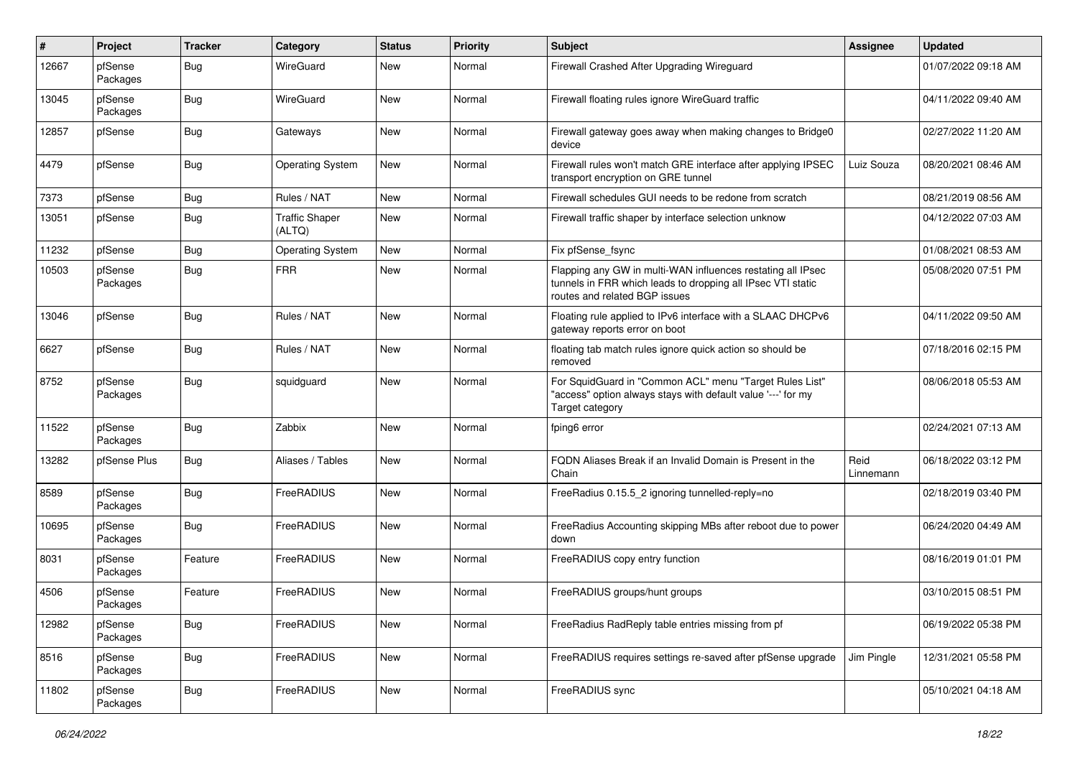| #     | Project             | <b>Tracker</b> | Category                        | <b>Status</b> | <b>Priority</b> | <b>Subject</b>                                                                                                                                              | <b>Assignee</b>   | <b>Updated</b>      |
|-------|---------------------|----------------|---------------------------------|---------------|-----------------|-------------------------------------------------------------------------------------------------------------------------------------------------------------|-------------------|---------------------|
| 12667 | pfSense<br>Packages | Bug            | WireGuard                       | New           | Normal          | Firewall Crashed After Upgrading Wireguard                                                                                                                  |                   | 01/07/2022 09:18 AM |
| 13045 | pfSense<br>Packages | Bug            | WireGuard                       | New           | Normal          | Firewall floating rules ignore WireGuard traffic                                                                                                            |                   | 04/11/2022 09:40 AM |
| 12857 | pfSense             | <b>Bug</b>     | Gateways                        | <b>New</b>    | Normal          | Firewall gateway goes away when making changes to Bridge0<br>device                                                                                         |                   | 02/27/2022 11:20 AM |
| 4479  | pfSense             | Bug            | <b>Operating System</b>         | <b>New</b>    | Normal          | Firewall rules won't match GRE interface after applying IPSEC<br>transport encryption on GRE tunnel                                                         | Luiz Souza        | 08/20/2021 08:46 AM |
| 7373  | pfSense             | Bug            | Rules / NAT                     | <b>New</b>    | Normal          | Firewall schedules GUI needs to be redone from scratch                                                                                                      |                   | 08/21/2019 08:56 AM |
| 13051 | pfSense             | <b>Bug</b>     | <b>Traffic Shaper</b><br>(ALTQ) | New           | Normal          | Firewall traffic shaper by interface selection unknow                                                                                                       |                   | 04/12/2022 07:03 AM |
| 11232 | pfSense             | <b>Bug</b>     | <b>Operating System</b>         | <b>New</b>    | Normal          | Fix pfSense_fsync                                                                                                                                           |                   | 01/08/2021 08:53 AM |
| 10503 | pfSense<br>Packages | <b>Bug</b>     | <b>FRR</b>                      | <b>New</b>    | Normal          | Flapping any GW in multi-WAN influences restating all IPsec<br>tunnels in FRR which leads to dropping all IPsec VTI static<br>routes and related BGP issues |                   | 05/08/2020 07:51 PM |
| 13046 | pfSense             | <b>Bug</b>     | Rules / NAT                     | <b>New</b>    | Normal          | Floating rule applied to IPv6 interface with a SLAAC DHCPv6<br>gateway reports error on boot                                                                |                   | 04/11/2022 09:50 AM |
| 6627  | pfSense             | <b>Bug</b>     | Rules / NAT                     | New           | Normal          | floating tab match rules ignore quick action so should be<br>removed                                                                                        |                   | 07/18/2016 02:15 PM |
| 8752  | pfSense<br>Packages | <b>Bug</b>     | squidguard                      | New           | Normal          | For SquidGuard in "Common ACL" menu "Target Rules List"<br>"access" option always stays with default value '---' for my<br>Target category                  |                   | 08/06/2018 05:53 AM |
| 11522 | pfSense<br>Packages | <b>Bug</b>     | Zabbix                          | <b>New</b>    | Normal          | fping6 error                                                                                                                                                |                   | 02/24/2021 07:13 AM |
| 13282 | pfSense Plus        | Bug            | Aliases / Tables                | <b>New</b>    | Normal          | FQDN Aliases Break if an Invalid Domain is Present in the<br>Chain                                                                                          | Reid<br>Linnemann | 06/18/2022 03:12 PM |
| 8589  | pfSense<br>Packages | <b>Bug</b>     | FreeRADIUS                      | <b>New</b>    | Normal          | FreeRadius 0.15.5 2 ignoring tunnelled-reply=no                                                                                                             |                   | 02/18/2019 03:40 PM |
| 10695 | pfSense<br>Packages | <b>Bug</b>     | FreeRADIUS                      | New           | Normal          | FreeRadius Accounting skipping MBs after reboot due to power<br>down                                                                                        |                   | 06/24/2020 04:49 AM |
| 8031  | pfSense<br>Packages | Feature        | FreeRADIUS                      | <b>New</b>    | Normal          | FreeRADIUS copy entry function                                                                                                                              |                   | 08/16/2019 01:01 PM |
| 4506  | pfSense<br>Packages | Feature        | FreeRADIUS                      | <b>New</b>    | Normal          | FreeRADIUS groups/hunt groups                                                                                                                               |                   | 03/10/2015 08:51 PM |
| 12982 | pfSense<br>Packages | <b>Bug</b>     | FreeRADIUS                      | <b>New</b>    | Normal          | FreeRadius RadReply table entries missing from pf                                                                                                           |                   | 06/19/2022 05:38 PM |
| 8516  | pfSense<br>Packages | Bug            | FreeRADIUS                      | <b>New</b>    | Normal          | FreeRADIUS requires settings re-saved after pfSense upgrade                                                                                                 | Jim Pingle        | 12/31/2021 05:58 PM |
| 11802 | pfSense<br>Packages | <b>Bug</b>     | FreeRADIUS                      | New           | Normal          | FreeRADIUS sync                                                                                                                                             |                   | 05/10/2021 04:18 AM |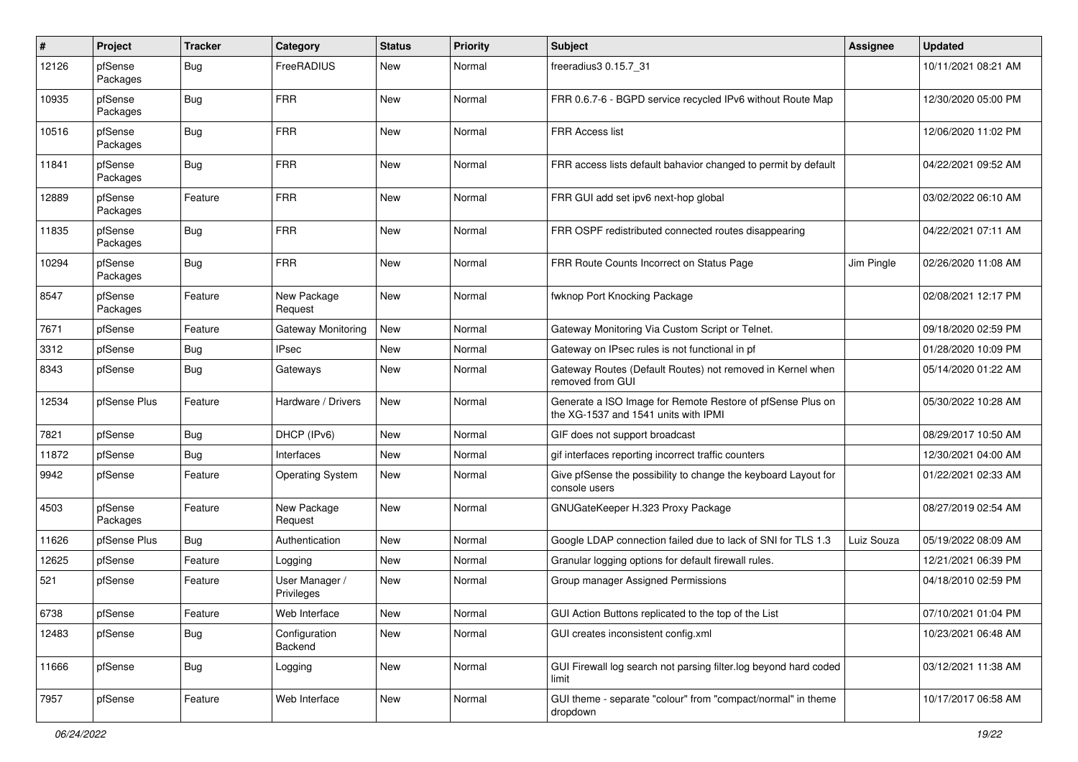| #     | Project             | <b>Tracker</b> | Category                     | <b>Status</b> | <b>Priority</b> | Subject                                                                                            | <b>Assignee</b> | <b>Updated</b>      |
|-------|---------------------|----------------|------------------------------|---------------|-----------------|----------------------------------------------------------------------------------------------------|-----------------|---------------------|
| 12126 | pfSense<br>Packages | Bug            | FreeRADIUS                   | New           | Normal          | freeradius3 0.15.7_31                                                                              |                 | 10/11/2021 08:21 AM |
| 10935 | pfSense<br>Packages | <b>Bug</b>     | <b>FRR</b>                   | New           | Normal          | FRR 0.6.7-6 - BGPD service recycled IPv6 without Route Map                                         |                 | 12/30/2020 05:00 PM |
| 10516 | pfSense<br>Packages | <b>Bug</b>     | <b>FRR</b>                   | <b>New</b>    | Normal          | FRR Access list                                                                                    |                 | 12/06/2020 11:02 PM |
| 11841 | pfSense<br>Packages | Bug            | <b>FRR</b>                   | New           | Normal          | FRR access lists default bahavior changed to permit by default                                     |                 | 04/22/2021 09:52 AM |
| 12889 | pfSense<br>Packages | Feature        | <b>FRR</b>                   | New           | Normal          | FRR GUI add set ipv6 next-hop global                                                               |                 | 03/02/2022 06:10 AM |
| 11835 | pfSense<br>Packages | <b>Bug</b>     | <b>FRR</b>                   | New           | Normal          | FRR OSPF redistributed connected routes disappearing                                               |                 | 04/22/2021 07:11 AM |
| 10294 | pfSense<br>Packages | Bug            | <b>FRR</b>                   | New           | Normal          | FRR Route Counts Incorrect on Status Page                                                          | Jim Pingle      | 02/26/2020 11:08 AM |
| 8547  | pfSense<br>Packages | Feature        | New Package<br>Request       | New           | Normal          | fwknop Port Knocking Package                                                                       |                 | 02/08/2021 12:17 PM |
| 7671  | pfSense             | Feature        | Gateway Monitoring           | <b>New</b>    | Normal          | Gateway Monitoring Via Custom Script or Telnet.                                                    |                 | 09/18/2020 02:59 PM |
| 3312  | pfSense             | <b>Bug</b>     | <b>IPsec</b>                 | New           | Normal          | Gateway on IPsec rules is not functional in pf                                                     |                 | 01/28/2020 10:09 PM |
| 8343  | pfSense             | Bug            | Gateways                     | New           | Normal          | Gateway Routes (Default Routes) not removed in Kernel when<br>removed from GUI                     |                 | 05/14/2020 01:22 AM |
| 12534 | pfSense Plus        | Feature        | Hardware / Drivers           | <b>New</b>    | Normal          | Generate a ISO Image for Remote Restore of pfSense Plus on<br>the XG-1537 and 1541 units with IPMI |                 | 05/30/2022 10:28 AM |
| 7821  | pfSense             | Bug            | DHCP (IPv6)                  | <b>New</b>    | Normal          | GIF does not support broadcast                                                                     |                 | 08/29/2017 10:50 AM |
| 11872 | pfSense             | <b>Bug</b>     | Interfaces                   | <b>New</b>    | Normal          | gif interfaces reporting incorrect traffic counters                                                |                 | 12/30/2021 04:00 AM |
| 9942  | pfSense             | Feature        | <b>Operating System</b>      | New           | Normal          | Give pfSense the possibility to change the keyboard Layout for<br>console users                    |                 | 01/22/2021 02:33 AM |
| 4503  | pfSense<br>Packages | Feature        | New Package<br>Request       | <b>New</b>    | Normal          | GNUGateKeeper H.323 Proxy Package                                                                  |                 | 08/27/2019 02:54 AM |
| 11626 | pfSense Plus        | Bug            | Authentication               | New           | Normal          | Google LDAP connection failed due to lack of SNI for TLS 1.3                                       | Luiz Souza      | 05/19/2022 08:09 AM |
| 12625 | pfSense             | Feature        | Logging                      | New           | Normal          | Granular logging options for default firewall rules.                                               |                 | 12/21/2021 06:39 PM |
| 521   | pfSense             | Feature        | User Manager /<br>Privileges | New           | Normal          | Group manager Assigned Permissions                                                                 |                 | 04/18/2010 02:59 PM |
| 6738  | pfSense             | Feature        | Web Interface                | New           | Normal          | GUI Action Buttons replicated to the top of the List                                               |                 | 07/10/2021 01:04 PM |
| 12483 | pfSense             | <b>Bug</b>     | Configuration<br>Backend     | New           | Normal          | GUI creates inconsistent config.xml                                                                |                 | 10/23/2021 06:48 AM |
| 11666 | pfSense             | <b>Bug</b>     | Logging                      | New           | Normal          | GUI Firewall log search not parsing filter.log beyond hard coded<br>limit                          |                 | 03/12/2021 11:38 AM |
| 7957  | pfSense             | Feature        | Web Interface                | New           | Normal          | GUI theme - separate "colour" from "compact/normal" in theme<br>dropdown                           |                 | 10/17/2017 06:58 AM |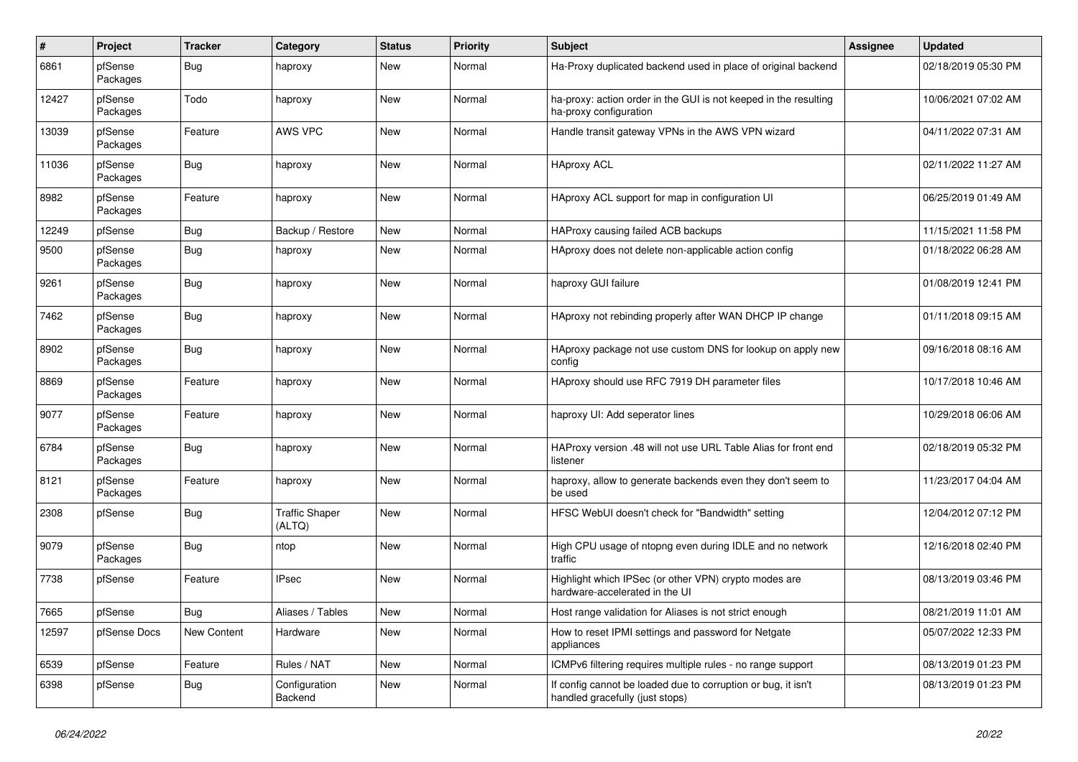| $\pmb{\#}$ | Project             | <b>Tracker</b> | Category                        | <b>Status</b> | <b>Priority</b> | <b>Subject</b>                                                                                   | Assignee | <b>Updated</b>      |
|------------|---------------------|----------------|---------------------------------|---------------|-----------------|--------------------------------------------------------------------------------------------------|----------|---------------------|
| 6861       | pfSense<br>Packages | <b>Bug</b>     | haproxy                         | <b>New</b>    | Normal          | Ha-Proxy duplicated backend used in place of original backend                                    |          | 02/18/2019 05:30 PM |
| 12427      | pfSense<br>Packages | Todo           | haproxy                         | <b>New</b>    | Normal          | ha-proxy: action order in the GUI is not keeped in the resulting<br>ha-proxy configuration       |          | 10/06/2021 07:02 AM |
| 13039      | pfSense<br>Packages | Feature        | <b>AWS VPC</b>                  | <b>New</b>    | Normal          | Handle transit gateway VPNs in the AWS VPN wizard                                                |          | 04/11/2022 07:31 AM |
| 11036      | pfSense<br>Packages | <b>Bug</b>     | haproxy                         | New           | Normal          | <b>HAproxy ACL</b>                                                                               |          | 02/11/2022 11:27 AM |
| 8982       | pfSense<br>Packages | Feature        | haproxy                         | <b>New</b>    | Normal          | HAproxy ACL support for map in configuration UI                                                  |          | 06/25/2019 01:49 AM |
| 12249      | pfSense             | Bug            | Backup / Restore                | New           | Normal          | HAProxy causing failed ACB backups                                                               |          | 11/15/2021 11:58 PM |
| 9500       | pfSense<br>Packages | Bug            | haproxy                         | New           | Normal          | HAproxy does not delete non-applicable action config                                             |          | 01/18/2022 06:28 AM |
| 9261       | pfSense<br>Packages | <b>Bug</b>     | haproxy                         | <b>New</b>    | Normal          | haproxy GUI failure                                                                              |          | 01/08/2019 12:41 PM |
| 7462       | pfSense<br>Packages | <b>Bug</b>     | haproxy                         | <b>New</b>    | Normal          | HAproxy not rebinding properly after WAN DHCP IP change                                          |          | 01/11/2018 09:15 AM |
| 8902       | pfSense<br>Packages | <b>Bug</b>     | haproxy                         | New           | Normal          | HAproxy package not use custom DNS for lookup on apply new<br>config                             |          | 09/16/2018 08:16 AM |
| 8869       | pfSense<br>Packages | Feature        | haproxy                         | <b>New</b>    | Normal          | HAproxy should use RFC 7919 DH parameter files                                                   |          | 10/17/2018 10:46 AM |
| 9077       | pfSense<br>Packages | Feature        | haproxy                         | <b>New</b>    | Normal          | haproxy UI: Add seperator lines                                                                  |          | 10/29/2018 06:06 AM |
| 6784       | pfSense<br>Packages | Bug            | haproxy                         | <b>New</b>    | Normal          | HAProxy version .48 will not use URL Table Alias for front end<br>listener                       |          | 02/18/2019 05:32 PM |
| 8121       | pfSense<br>Packages | Feature        | haproxy                         | New           | Normal          | haproxy, allow to generate backends even they don't seem to<br>be used                           |          | 11/23/2017 04:04 AM |
| 2308       | pfSense             | <b>Bug</b>     | <b>Traffic Shaper</b><br>(ALTQ) | New           | Normal          | HFSC WebUI doesn't check for "Bandwidth" setting                                                 |          | 12/04/2012 07:12 PM |
| 9079       | pfSense<br>Packages | Bug            | ntop                            | New           | Normal          | High CPU usage of ntopng even during IDLE and no network<br>traffic                              |          | 12/16/2018 02:40 PM |
| 7738       | pfSense             | Feature        | <b>IPsec</b>                    | New           | Normal          | Highlight which IPSec (or other VPN) crypto modes are<br>hardware-accelerated in the UI          |          | 08/13/2019 03:46 PM |
| 7665       | pfSense             | Bug            | Aliases / Tables                | <b>New</b>    | Normal          | Host range validation for Aliases is not strict enough                                           |          | 08/21/2019 11:01 AM |
| 12597      | pfSense Docs        | New Content    | Hardware                        | <b>New</b>    | Normal          | How to reset IPMI settings and password for Netgate<br>appliances                                |          | 05/07/2022 12:33 PM |
| 6539       | pfSense             | Feature        | Rules / NAT                     | <b>New</b>    | Normal          | ICMPv6 filtering requires multiple rules - no range support                                      |          | 08/13/2019 01:23 PM |
| 6398       | pfSense             | <b>Bug</b>     | Configuration<br>Backend        | <b>New</b>    | Normal          | If config cannot be loaded due to corruption or bug, it isn't<br>handled gracefully (just stops) |          | 08/13/2019 01:23 PM |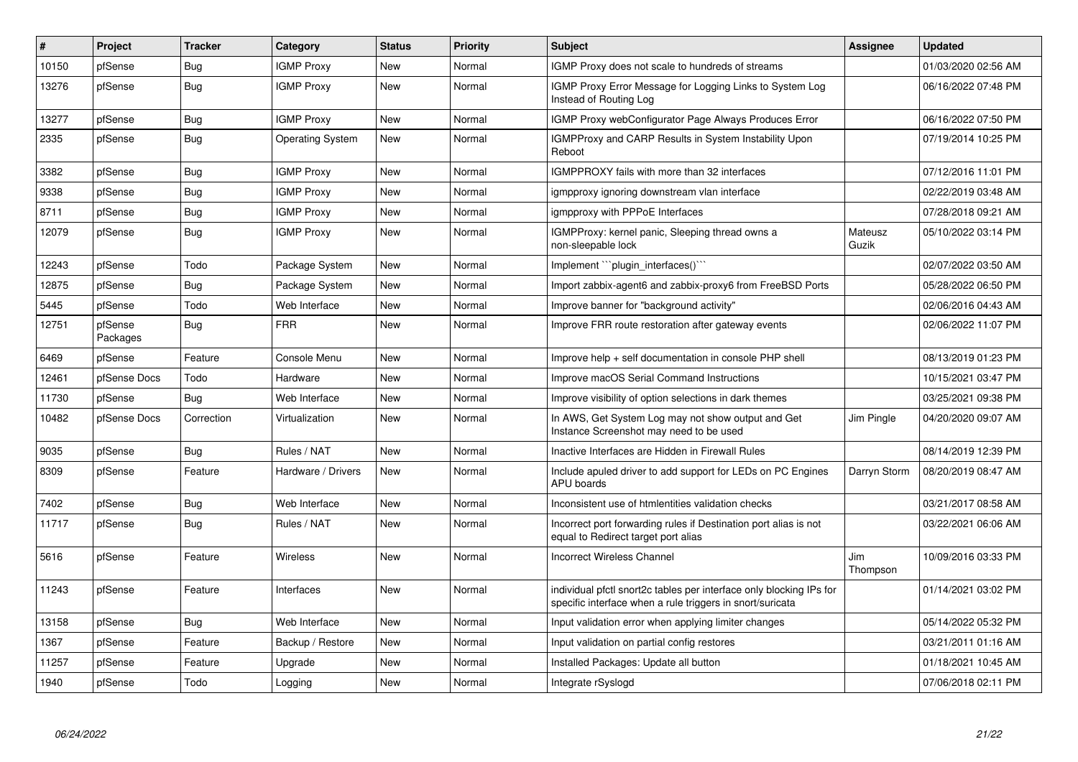| $\vert$ # | Project             | <b>Tracker</b> | Category                | <b>Status</b> | Priority | <b>Subject</b>                                                                                                                   | <b>Assignee</b>  | <b>Updated</b>      |
|-----------|---------------------|----------------|-------------------------|---------------|----------|----------------------------------------------------------------------------------------------------------------------------------|------------------|---------------------|
| 10150     | pfSense             | Bug            | <b>IGMP Proxy</b>       | <b>New</b>    | Normal   | IGMP Proxy does not scale to hundreds of streams                                                                                 |                  | 01/03/2020 02:56 AM |
| 13276     | pfSense             | Bug            | <b>IGMP Proxy</b>       | New           | Normal   | IGMP Proxy Error Message for Logging Links to System Log<br>Instead of Routing Log                                               |                  | 06/16/2022 07:48 PM |
| 13277     | pfSense             | Bug            | <b>IGMP Proxy</b>       | <b>New</b>    | Normal   | IGMP Proxy webConfigurator Page Always Produces Error                                                                            |                  | 06/16/2022 07:50 PM |
| 2335      | pfSense             | Bug            | <b>Operating System</b> | New           | Normal   | <b>IGMPProxy and CARP Results in System Instability Upon</b><br>Reboot                                                           |                  | 07/19/2014 10:25 PM |
| 3382      | pfSense             | Bug            | <b>IGMP Proxy</b>       | <b>New</b>    | Normal   | IGMPPROXY fails with more than 32 interfaces                                                                                     |                  | 07/12/2016 11:01 PM |
| 9338      | pfSense             | Bug            | <b>IGMP Proxy</b>       | New           | Normal   | igmpproxy ignoring downstream vlan interface                                                                                     |                  | 02/22/2019 03:48 AM |
| 8711      | pfSense             | Bug            | <b>IGMP Proxy</b>       | New           | Normal   | igmpproxy with PPPoE Interfaces                                                                                                  |                  | 07/28/2018 09:21 AM |
| 12079     | pfSense             | Bug            | <b>IGMP Proxy</b>       | New           | Normal   | IGMPProxy: kernel panic, Sleeping thread owns a<br>non-sleepable lock                                                            | Mateusz<br>Guzik | 05/10/2022 03:14 PM |
| 12243     | pfSense             | Todo           | Package System          | New           | Normal   | Implement ```plugin_interfaces()```                                                                                              |                  | 02/07/2022 03:50 AM |
| 12875     | pfSense             | Bug            | Package System          | New           | Normal   | Import zabbix-agent6 and zabbix-proxy6 from FreeBSD Ports                                                                        |                  | 05/28/2022 06:50 PM |
| 5445      | pfSense             | Todo           | Web Interface           | <b>New</b>    | Normal   | Improve banner for "background activity"                                                                                         |                  | 02/06/2016 04:43 AM |
| 12751     | pfSense<br>Packages | Bug            | <b>FRR</b>              | <b>New</b>    | Normal   | Improve FRR route restoration after gateway events                                                                               |                  | 02/06/2022 11:07 PM |
| 6469      | pfSense             | Feature        | Console Menu            | New           | Normal   | Improve help + self documentation in console PHP shell                                                                           |                  | 08/13/2019 01:23 PM |
| 12461     | pfSense Docs        | Todo           | Hardware                | <b>New</b>    | Normal   | Improve macOS Serial Command Instructions                                                                                        |                  | 10/15/2021 03:47 PM |
| 11730     | pfSense             | <b>Bug</b>     | Web Interface           | New           | Normal   | Improve visibility of option selections in dark themes                                                                           |                  | 03/25/2021 09:38 PM |
| 10482     | pfSense Docs        | Correction     | Virtualization          | <b>New</b>    | Normal   | In AWS, Get System Log may not show output and Get<br>Instance Screenshot may need to be used                                    | Jim Pingle       | 04/20/2020 09:07 AM |
| 9035      | pfSense             | <b>Bug</b>     | Rules / NAT             | <b>New</b>    | Normal   | Inactive Interfaces are Hidden in Firewall Rules                                                                                 |                  | 08/14/2019 12:39 PM |
| 8309      | pfSense             | Feature        | Hardware / Drivers      | <b>New</b>    | Normal   | Include apuled driver to add support for LEDs on PC Engines<br><b>APU</b> boards                                                 | Darryn Storm     | 08/20/2019 08:47 AM |
| 7402      | pfSense             | Bug            | Web Interface           | New           | Normal   | Inconsistent use of htmlentities validation checks                                                                               |                  | 03/21/2017 08:58 AM |
| 11717     | pfSense             | <b>Bug</b>     | Rules / NAT             | <b>New</b>    | Normal   | Incorrect port forwarding rules if Destination port alias is not<br>equal to Redirect target port alias                          |                  | 03/22/2021 06:06 AM |
| 5616      | pfSense             | Feature        | <b>Wireless</b>         | <b>New</b>    | Normal   | <b>Incorrect Wireless Channel</b>                                                                                                | Jim<br>Thompson  | 10/09/2016 03:33 PM |
| 11243     | pfSense             | Feature        | <b>Interfaces</b>       | New           | Normal   | individual pfctl snort2c tables per interface only blocking IPs for<br>specific interface when a rule triggers in snort/suricata |                  | 01/14/2021 03:02 PM |
| 13158     | pfSense             | Bug            | Web Interface           | <b>New</b>    | Normal   | Input validation error when applying limiter changes                                                                             |                  | 05/14/2022 05:32 PM |
| 1367      | pfSense             | Feature        | Backup / Restore        | New           | Normal   | Input validation on partial config restores                                                                                      |                  | 03/21/2011 01:16 AM |
| 11257     | pfSense             | Feature        | Upgrade                 | New           | Normal   | Installed Packages: Update all button                                                                                            |                  | 01/18/2021 10:45 AM |
| 1940      | pfSense             | Todo           | Logging                 | New           | Normal   | Integrate rSyslogd                                                                                                               |                  | 07/06/2018 02:11 PM |